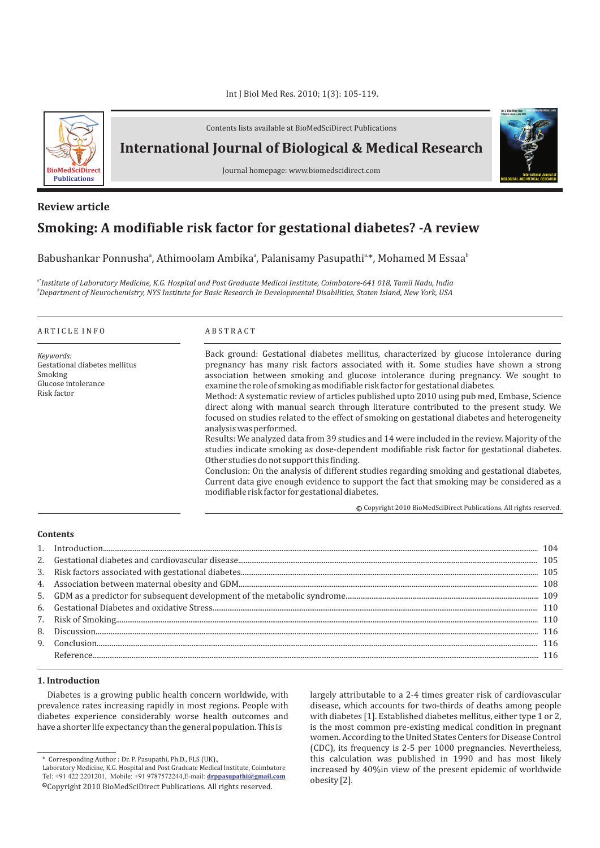# Int J Biol Med Res. 2010; 1(3): 105-119.



Contents lists available at BioMedSciDirect Publications

**International Journal of Biological & Medical Research** 

Journal homepage: www.biomedscidirect.com

# **Smoking: A modifiable risk factor for gestational diabetes? -A review Review article**

Babushankar Ponnusha<sup>a</sup>, Athimoolam Ambika<sup>a</sup>, Palanisamy Pasupathi<sup>a</sup>\*, Mohamed M Essaa<sup>b</sup>

*a\*Institute of Laboratory Medicine, K.G. Hospital and Post Graduate Medical Institute, Coimbatore-641 018, Tamil Nadu, India b Department of Neurochemistry, NYS Institute for Basic Research In Developmental Disabilities, Staten Island, New York, USA*

| Back ground: Gestational diabetes mellitus, characterized by glucose intolerance during                                                                                                                                                                                                                                                                                                                                                                                                                                                                                                                                                                                                                                                                                                                                                                                                                                                                                                                  |
|----------------------------------------------------------------------------------------------------------------------------------------------------------------------------------------------------------------------------------------------------------------------------------------------------------------------------------------------------------------------------------------------------------------------------------------------------------------------------------------------------------------------------------------------------------------------------------------------------------------------------------------------------------------------------------------------------------------------------------------------------------------------------------------------------------------------------------------------------------------------------------------------------------------------------------------------------------------------------------------------------------|
| pregnancy has many risk factors associated with it. Some studies have shown a strong<br>association between smoking and glucose intolerance during pregnancy. We sought to<br>examine the role of smoking as modifiable risk factor for gestational diabetes.<br>Method: A systematic review of articles published upto 2010 using pub med, Embase, Science<br>direct along with manual search through literature contributed to the present study. We<br>focused on studies related to the effect of smoking on gestational diabetes and heterogeneity<br>Results: We analyzed data from 39 studies and 14 were included in the review. Majority of the<br>studies indicate smoking as dose-dependent modifiable risk factor for gestational diabetes.<br>Conclusion: On the analysis of different studies regarding smoking and gestational diabetes,<br>Current data give enough evidence to support the fact that smoking may be considered as a<br>modifiable risk factor for gestational diabetes. |
| Other studies do not support this finding.<br>© Convright 2010 BioMedSciDirect Publications, All rights reserved                                                                                                                                                                                                                                                                                                                                                                                                                                                                                                                                                                                                                                                                                                                                                                                                                                                                                         |

c Copyright 2010 BioMedSciDirect Publications. All rights reserved.

**International Journal of BIOLOGICAL AND MEDICAL RESEARCH**

**Int J Biol Med Res www.biomedscidirect.com Volume 3, Issue 3, July 2010**

# **Contents**

# **1. Introduction**

Diabetes is a growing public health concern worldwide, with prevalence rates increasing rapidly in most regions. People with diabetes experience considerably worse health outcomes and have a shorter life expectancy than the general population. This is

largely attributable to a 2-4 times greater risk of cardiovascular disease, which accounts for two-thirds of deaths among people with diabetes [1]. Established diabetes mellitus, either type 1 or 2, is the most common pre-existing medical condition in pregnant women. According to the United States Centers for Disease Control (CDC), its frequency is 2-5 per 1000 pregnancies. Nevertheless, this calculation was published in 1990 and has most likely increased by 40%in view of the present epidemic of worldwide obesity [2].

<sup>\*</sup> Corresponding Author : Dr. P. Pasupathi, Ph.D., FLS (UK).,

<sup>©</sup>Copyright 2010 BioMedSciDirect Publications. All rights reserved. Laboratory Medicine, K.G. Hospital and Post Graduate Medical Institute, Coimbatore Tel: +91 422 2201201, Mobile: +91 9787572244,E-mail: **drppasupathi@gmail.com**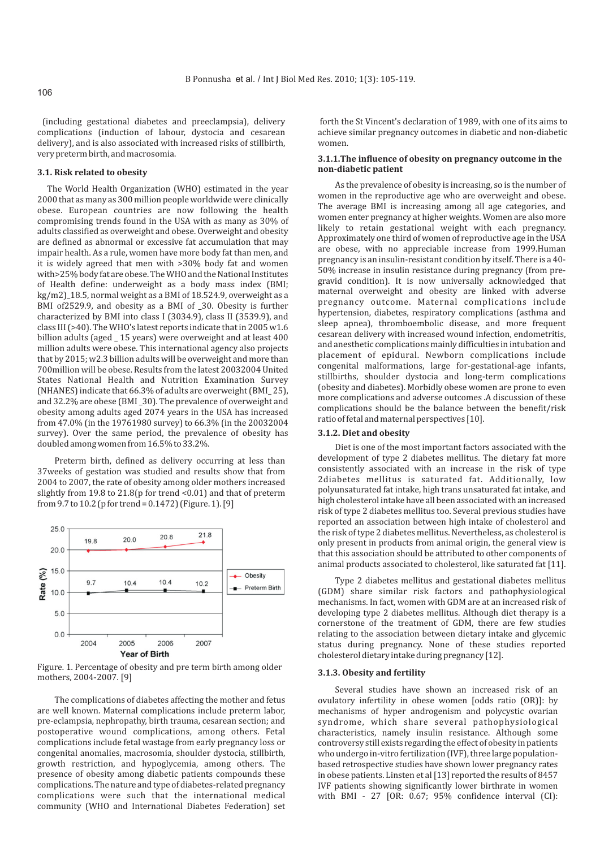(including gestational diabetes and preeclampsia), delivery complications (induction of labour, dystocia and cesarean delivery), and is also associated with increased risks of stillbirth, very preterm birth, and macrosomia.

#### **3.1. Risk related to obesity**

The World Health Organization (WHO) estimated in the year 2000 that as many as 300 million people worldwide were clinically obese. European countries are now following the health compromising trends found in the USA with as many as 30% of adults classified as overweight and obese. Overweight and obesity are defined as abnormal or excessive fat accumulation that may impair health. As a rule, women have more body fat than men, and it is widely agreed that men with >30% body fat and women with>25% body fat are obese. The WHO and the National Institutes of Health define: underweight as a body mass index (BMI; kg/m2)\_18.5, normal weight as a BMI of 18.524.9, overweight as a BMI of2529.9, and obesity as a BMI of \_30. Obesity is further characterized by BMI into class I (3034.9), class II (3539.9), and class III (>40). The WHO's latest reports indicate that in 2005 w1.6 billion adults (aged \_ 15 years) were overweight and at least 400 million adults were obese. This international agency also projects that by 2015; w2.3 billion adults will be overweight and more than 700million will be obese. Results from the latest 20032004 United States National Health and Nutrition Examination Survey (NHANES) indicate that 66.3% of adults are overweight (BMI\_ 25), and 32.2% are obese (BMI \_30). The prevalence of overweight and obesity among adults aged 2074 years in the USA has increased from 47.0% (in the 19761980 survey) to 66.3% (in the 20032004 survey). Over the same period, the prevalence of obesity has doubled among women from 16.5% to 33.2%.

Preterm birth, defined as delivery occurring at less than 37weeks of gestation was studied and results show that from 2004 to 2007, the rate of obesity among older mothers increased slightly from 19.8 to 21.8(p for trend <0.01) and that of preterm from 9.7 to 10.2 (p for trend = 0.1472) (Figure. 1). [9]



Figure. 1. Percentage of obesity and pre term birth among older mothers, 2004-2007. [9]<br>**3.1.3. Obesity and fertility** 

The complications of diabetes affecting the mother and fetus are well known. Maternal complications include preterm labor, pre-eclampsia, nephropathy, birth trauma, cesarean section; and postoperative wound complications, among others. Fetal complications include fetal wastage from early pregnancy loss or congenital anomalies, macrosomia, shoulder dystocia, stillbirth, growth restriction, and hypoglycemia, among others. The presence of obesity among diabetic patients compounds these complications. The nature and type of diabetes-related pregnancy complications were such that the international medical community (WHO and International Diabetes Federation) set

 forth the St Vincent's declaration of 1989, with one of its aims to achieve similar pregnancy outcomes in diabetic and non-diabetic women.

# **3.1.1.The influence of obesity on pregnancy outcome in the non-diabetic patient**

As the prevalence of obesity is increasing, so is the number of women in the reproductive age who are overweight and obese. The average BMI is increasing among all age categories, and women enter pregnancy at higher weights. Women are also more likely to retain gestational weight with each pregnancy. Approximately one third of women of reproductive age in the USA are obese, with no appreciable increase from 1999.Human pregnancy is an insulin-resistant condition by itself. There is a 40- 50% increase in insulin resistance during pregnancy (from pregravid condition). It is now universally acknowledged that maternal overweight and obesity are linked with adverse pregnancy outcome. Maternal complications include hypertension, diabetes, respiratory complications (asthma and sleep apnea), thromboembolic disease, and more frequent cesarean delivery with increased wound infection, endometritis, and anesthetic complications mainly difficulties in intubation and placement of epidural. Newborn complications include congenital malformations, large for-gestational-age infants, stillbirths, shoulder dystocia and long-term complications (obesity and diabetes). Morbidly obese women are prone to even more complications and adverse outcomes .A discussion of these complications should be the balance between the benefit/risk ratio of fetal and maternal perspectives [10].

#### **3.1.2. Diet and obesity**

Diet is one of the most important factors associated with the development of type 2 diabetes mellitus. The dietary fat more consistently associated with an increase in the risk of type 2diabetes mellitus is saturated fat. Additionally, low polyunsaturated fat intake, high trans unsaturated fat intake, and high cholesterol intake have all been associated with an increased risk of type 2 diabetes mellitus too. Several previous studies have reported an association between high intake of cholesterol and the risk of type 2 diabetes mellitus. Nevertheless, as cholesterol is only present in products from animal origin, the general view is that this association should be attributed to other components of animal products associated to cholesterol, like saturated fat [11].

Type 2 diabetes mellitus and gestational diabetes mellitus (GDM) share similar risk factors and pathophysiological mechanisms. In fact, women with GDM are at an increased risk of developing type 2 diabetes mellitus. Although diet therapy is a cornerstone of the treatment of GDM, there are few studies relating to the association between dietary intake and glycemic status during pregnancy. None of these studies reported cholesterol dietary intake during pregnancy [12].

Several studies have shown an increased risk of an ovulatory infertility in obese women [odds ratio (OR)]: by mechanisms of hyper androgenism and polycystic ovarian syndrome, which share several pathophysiological characteristics, namely insulin resistance. Although some controversy still exists regarding the effect of obesity in patients who undergo in-vitro fertilization (IVF), three large populationbased retrospective studies have shown lower pregnancy rates in obese patients. Linsten et al [13] reported the results of 8457 IVF patients showing significantly lower birthrate in women with BMI - 27 [OR: 0.67; 95% confidence interval (CI):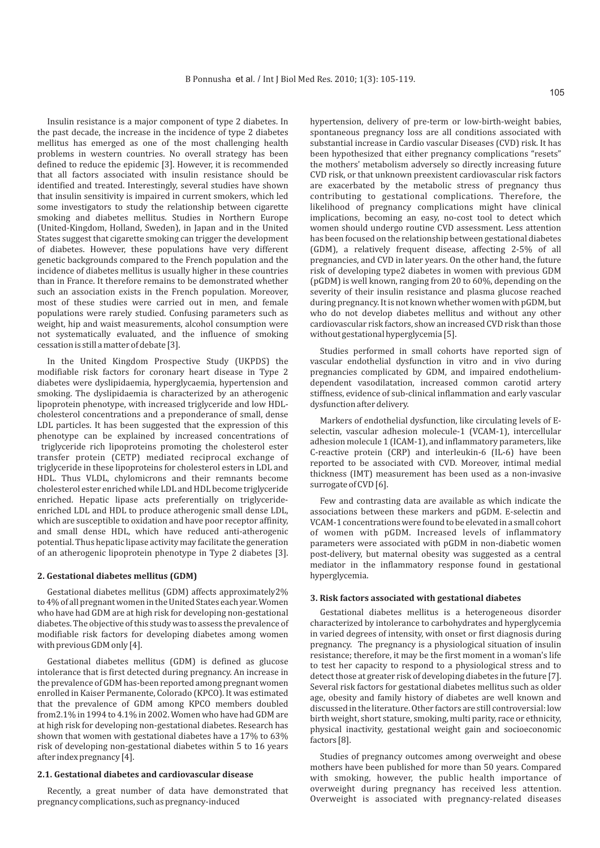Insulin resistance is a major component of type 2 diabetes. In the past decade, the increase in the incidence of type 2 diabetes mellitus has emerged as one of the most challenging health problems in western countries. No overall strategy has been defined to reduce the epidemic [3]. However, it is recommended that all factors associated with insulin resistance should be identified and treated. Interestingly, several studies have shown that insulin sensitivity is impaired in current smokers, which led some investigators to study the relationship between cigarette smoking and diabetes mellitus. Studies in Northern Europe (United-Kingdom, Holland, Sweden), in Japan and in the United States suggest that cigarette smoking can trigger the development of diabetes. However, these populations have very different genetic backgrounds compared to the French population and the incidence of diabetes mellitus is usually higher in these countries than in France. It therefore remains to be demonstrated whether such an association exists in the French population. Moreover, most of these studies were carried out in men, and female populations were rarely studied. Confusing parameters such as weight, hip and waist measurements, alcohol consumption were not systematically evaluated, and the influence of smoking cessation is still a matter of debate [3].

In the United Kingdom Prospective Study (UKPDS) the modifiable risk factors for coronary heart disease in Type 2 diabetes were dyslipidaemia, hyperglycaemia, hypertension and smoking. The dyslipidaemia is characterized by an atherogenic lipoprotein phenotype, with increased triglyceride and low HDLcholesterol concentrations and a preponderance of small, dense LDL particles. It has been suggested that the expression of this phenotype can be explained by increased concentrations of triglyceride rich lipoproteins promoting the cholesterol ester transfer protein (CETP) mediated reciprocal exchange of triglyceride in these lipoproteins for cholesterol esters in LDL and HDL. Thus VLDL, chylomicrons and their remnants become cholesterol ester enriched while LDL and HDL become triglyceride enriched. Hepatic lipase acts preferentially on triglycerideenriched LDL and HDL to produce atherogenic small dense LDL, which are susceptible to oxidation and have poor receptor affinity, and small dense HDL, which have reduced anti-atherogenic potential. Thus hepatic lipase activity may facilitate the generation of an atherogenic lipoprotein phenotype in Type 2 diabetes [3].

#### **2. Gestational diabetes mellitus (GDM)**

Gestational diabetes mellitus (GDM) affects approximately2% to 4% of all pregnant women in the United States each year. Women who have had GDM are at high risk for developing non-gestational diabetes. The objective of this study was to assess the prevalence of modifiable risk factors for developing diabetes among women with previous GDM only [4].

Gestational diabetes mellitus (GDM) is defined as glucose intolerance that is first detected during pregnancy. An increase in the prevalence of GDM has-been reported among pregnant women enrolled in Kaiser Permanente, Colorado (KPCO). It was estimated that the prevalence of GDM among KPCO members doubled from2.1% in 1994 to 4.1% in 2002. Women who have had GDM are at high risk for developing non-gestational diabetes. Research has shown that women with gestational diabetes have a 17% to 63% risk of developing non-gestational diabetes within 5 to 16 years after index pregnancy [4].

# **2.1. Gestational diabetes and cardiovascular disease**

Recently, a great number of data have demonstrated that pregnancy complications, such as pregnancy-induced

hypertension, delivery of pre-term or low-birth-weight babies, spontaneous pregnancy loss are all conditions associated with substantial increase in Cardio vascular Diseases (CVD) risk. It has been hypothesized that either pregnancy complications "resets" the mothers' metabolism adversely so directly increasing future CVD risk, or that unknown preexistent cardiovascular risk factors are exacerbated by the metabolic stress of pregnancy thus contributing to gestational complications. Therefore, the likelihood of pregnancy complications might have clinical implications, becoming an easy, no-cost tool to detect which women should undergo routine CVD assessment. Less attention has been focused on the relationship between gestational diabetes (GDM), a relatively frequent disease, affecting 2-5% of all pregnancies, and CVD in later years. On the other hand, the future risk of developing type2 diabetes in women with previous GDM (pGDM) is well known, ranging from 20 to 60%, depending on the severity of their insulin resistance and plasma glucose reached during pregnancy. It is not known whether women with pGDM, but who do not develop diabetes mellitus and without any other cardiovascular risk factors, show an increased CVD risk than those without gestational hyperglycemia [5].

Studies performed in small cohorts have reported sign of vascular endothelial dysfunction in vitro and in vivo during pregnancies complicated by GDM, and impaired endotheliumdependent vasodilatation, increased common carotid artery stiffness, evidence of sub-clinical inflammation and early vascular dysfunction after delivery.

Markers of endothelial dysfunction, like circulating levels of Eselectin, vascular adhesion molecule-1 (VCAM-1), intercellular adhesion molecule 1 (ICAM-1), and inflammatory parameters, like C-reactive protein (CRP) and interleukin-6 (IL-6) have been reported to be associated with CVD. Moreover, intimal medial thickness (IMT) measurement has been used as a non-invasive surrogate of CVD [6].

Few and contrasting data are available as which indicate the associations between these markers and pGDM. E-selectin and VCAM-1 concentrations were found to be elevated in a small cohort of women with pGDM. Increased levels of inflammatory parameters were associated with pGDM in non-diabetic women post-delivery, but maternal obesity was suggested as a central mediator in the inflammatory response found in gestational hyperglycemia.

#### **3. Risk factors associated with gestational diabetes**

Gestational diabetes mellitus is a heterogeneous disorder characterized by intolerance to carbohydrates and hyperglycemia in varied degrees of intensity, with onset or first diagnosis during pregnancy. The pregnancy is a physiological situation of insulin resistance; therefore, it may be the first moment in a woman's life to test her capacity to respond to a physiological stress and to detect those at greater risk of developing diabetes in the future [7]. Several risk factors for gestational diabetes mellitus such as older age, obesity and family history of diabetes are well known and discussed in the literature. Other factors are still controversial: low birth weight, short stature, smoking, multi parity, race or ethnicity, physical inactivity, gestational weight gain and socioeconomic factors [8].

Studies of pregnancy outcomes among overweight and obese mothers have been published for more than 50 years. Compared with smoking, however, the public health importance of overweight during pregnancy has received less attention. Overweight is associated with pregnancy-related diseases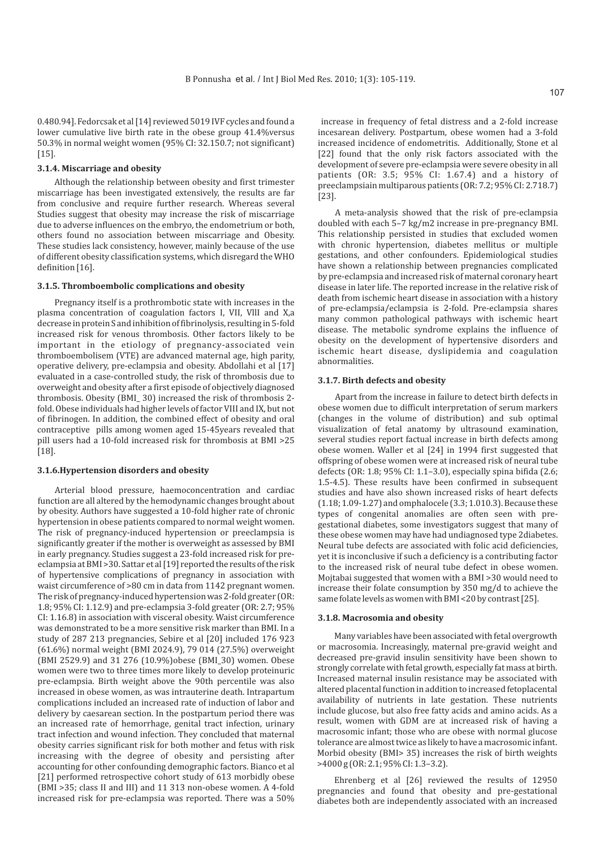0.480.94]. Fedorcsak et al [14] reviewed 5019 IVF cycles and found a lower cumulative live birth rate in the obese group 41.4%versus 50.3% in normal weight women (95% CI: 32.150.7; not significant)  $[15]$ .

#### **3.1.4. Miscarriage and obesity**

Although the relationship between obesity and first trimester miscarriage has been investigated extensively, the results are far from conclusive and require further research. Whereas several Studies suggest that obesity may increase the risk of miscarriage due to adverse influences on the embryo, the endometrium or both, others found no association between miscarriage and Obesity. These studies lack consistency, however, mainly because of the use of different obesity classification systems, which disregard the WHO definition [16].

# **3.1.5. Thromboembolic complications and obesity**

Pregnancy itself is a prothrombotic state with increases in the plasma concentration of coagulation factors I, VII, VllI and X,a decrease in protein S and inhibition of fibrinolysis, resulting in 5-fold increased risk for venous thrombosis. Other factors likely to be important in the etiology of pregnancy-associated vein thromboembolisem (VTE) are advanced maternal age, high parity, operative delivery, pre-eclampsia and obesity. Abdollahi et al [17] evaluated in a case-controlled study, the risk of thrombosis due to overweight and obesity after a first episode of objectively diagnosed thrombosis. Obesity (BMI\_ 30) increased the risk of thrombosis 2 fold. Obese individuals had higher levels of factor VIII and IX, but not of fibrinogen. In addition, the combined effect of obesity and oral contraceptive pills among women aged 15-45years revealed that pill users had a 10-fold increased risk for thrombosis at BMI >25 [18].

# **3.1.6.Hypertension disorders and obesity**

Arterial blood pressure, haemoconcentration and cardiac function are all altered by the hemodynamic changes brought about by obesity. Authors have suggested a 10-fold higher rate of chronic hypertension in obese patients compared to normal weight women. The risk of pregnancy-induced hypertension or preeclampsia is significantly greater if the mother is overweight as assessed by BMI in early pregnancy. Studies suggest a 23-fold increased risk for preeclampsia at BMI >30. Sattar et al [19] reported the results of the risk of hypertensive complications of pregnancy in association with waist circumference of >80 cm in data from 1142 pregnant women. The risk of pregnancy-induced hypertension was 2-fold greater (OR: 1.8; 95% CI: 1.12.9) and pre-eclampsia 3-fold greater (OR: 2.7; 95% CI: 1.16.8) in association with visceral obesity. Waist circumference was demonstrated to be a more sensitive risk marker than BMI. In a study of 287 213 pregnancies, Sebire et al [20] included 176 923 (61.6%) normal weight (BMI 2024.9), 79 014 (27.5%) overweight (BMI 2529.9) and 31 276 (10.9%)obese (BMI\_30) women. Obese women were two to three times more likely to develop proteinuric pre-eclampsia. Birth weight above the 90th percentile was also increased in obese women, as was intrauterine death. Intrapartum complications included an increased rate of induction of labor and delivery by caesarean section. In the postpartum period there was an increased rate of hemorrhage, genital tract infection, urinary tract infection and wound infection. They concluded that maternal obesity carries significant risk for both mother and fetus with risk increasing with the degree of obesity and persisting after accounting for other confounding demographic factors. Bianco et al [21] performed retrospective cohort study of 613 morbidly obese (BMI >35; class II and III) and 11 313 non-obese women. A 4-fold increased risk for pre-eclampsia was reported. There was a 50%

increase in frequency of fetal distress and a 2-fold increase incesarean delivery. Postpartum, obese women had a 3-fold increased incidence of endometritis. Additionally, Stone et al [22] found that the only risk factors associated with the development of severe pre-eclampsia were severe obesity in all patients (OR: 3.5; 95% CI: 1.67.4) and a history of preeclampsiain multiparous patients (OR: 7.2; 95% CI: 2.718.7) [23].

A meta-analysis showed that the risk of pre-eclampsia doubled with each 5–7 kg/m2 increase in pre-pregnancy BMI. This relationship persisted in studies that excluded women with chronic hypertension, diabetes mellitus or multiple gestations, and other confounders. Epidemiological studies have shown a relationship between pregnancies complicated by pre-eclampsia and increased risk of maternal coronary heart disease in later life. The reported increase in the relative risk of death from ischemic heart disease in association with a history of pre-eclampsia/eclampsia is 2-fold. Pre-eclampsia shares many common pathological pathways with ischemic heart disease. The metabolic syndrome explains the influence of obesity on the development of hypertensive disorders and ischemic heart disease, dyslipidemia and coagulation abnormalities.

#### **3.1.7. Birth defects and obesity**

Apart from the increase in failure to detect birth defects in obese women due to difficult interpretation of serum markers (changes in the volume of distribution) and sub optimal visualization of fetal anatomy by ultrasound examination, several studies report factual increase in birth defects among obese women. Waller et al [24] in 1994 first suggested that offspring of obese women were at increased risk of neural tube defects (OR: 1.8; 95% CI: 1.1–3.0), especially spina bifida (2.6; 1.5-4.5). These results have been confirmed in subsequent studies and have also shown increased risks of heart defects (1.18; 1.09-1.27) and omphalocele (3.3; 1.010.3). Because these types of congenital anomalies are often seen with pregestational diabetes, some investigators suggest that many of these obese women may have had undiagnosed type 2diabetes. Neural tube defects are associated with folic acid deficiencies, yet it is inconclusive if such a deficiency is a contributing factor to the increased risk of neural tube defect in obese women. Mojtabai suggested that women with a BMI >30 would need to increase their folate consumption by 350 mg/d to achieve the same folate levels as women with BMI <20 by contrast [25].

#### **3.1.8. Macrosomia and obesity**

Many variables have been associated with fetal overgrowth or macrosomia. Increasingly, maternal pre-gravid weight and decreased pre-gravid insulin sensitivity have been shown to strongly correlate with fetal growth, especially fat mass at birth. Increased maternal insulin resistance may be associated with altered placental function in addition to increased fetoplacental availability of nutrients in late gestation. These nutrients include glucose, but also free fatty acids and amino acids. As a result, women with GDM are at increased risk of having a macrosomic infant; those who are obese with normal glucose tolerance are almost twice as likely to have a macrosomic infant. Morbid obesity (BMI> 35) increases the risk of birth weights >4000 g (OR: 2.1; 95% CI: 1.3–3.2).

Ehrenberg et al [26] reviewed the results of 12950 pregnancies and found that obesity and pre-gestational diabetes both are independently associated with an increased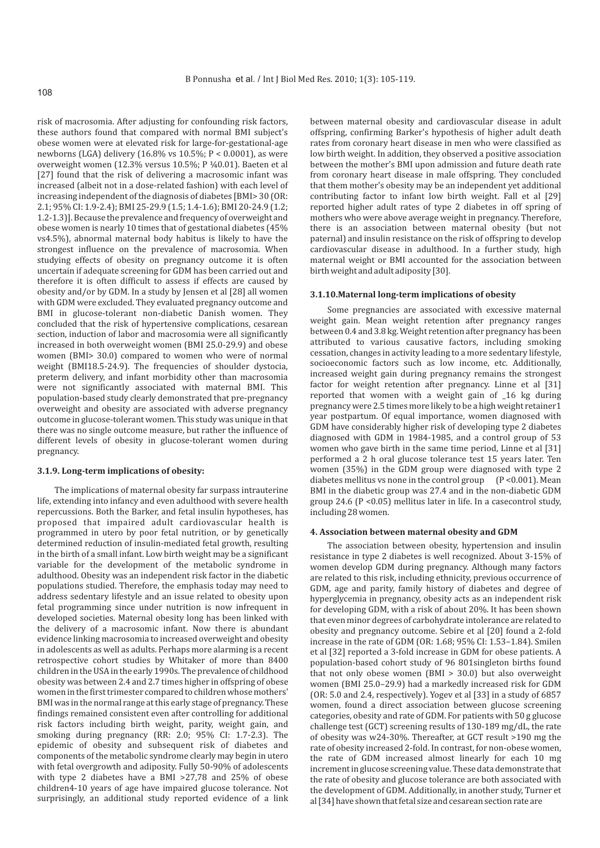risk of macrosomia. After adjusting for confounding risk factors, these authors found that compared with normal BMI subject's obese women were at elevated risk for large-for-gestational-age newborns (LGA) delivery (16.8% vs 10.5%; P < 0.0001), as were overweight women (12.3% versus 10.5%; P ¼0.01). Baeten et al [27] found that the risk of delivering a macrosomic infant was increased (albeit not in a dose-related fashion) with each level of increasing independent of the diagnosis of diabetes [BMI> 30 (OR: 2.1; 95% CI: 1.9-2.4); BMI 25-29.9 (1.5; 1.4-1.6); BMI 20-24.9 (1.2; 1.2-1.3)]. Because the prevalence and frequency of overweight and obese women is nearly 10 times that of gestational diabetes (45% vs4.5%), abnormal maternal body habitus is likely to have the strongest influence on the prevalence of macrosomia. When studying effects of obesity on pregnancy outcome it is often uncertain if adequate screening for GDM has been carried out and therefore it is often difficult to assess if effects are caused by obesity and/or by GDM. In a study by Jensen et al [28] all women with GDM were excluded. They evaluated pregnancy outcome and BMI in glucose-tolerant non-diabetic Danish women. They concluded that the risk of hypertensive complications, cesarean section, induction of labor and macrosomia were all significantly increased in both overweight women (BMI 25.0-29.9) and obese women (BMI> 30.0) compared to women who were of normal weight (BMI18.5-24.9). The frequencies of shoulder dystocia, preterm delivery, and infant morbidity other than macrosomia were not significantly associated with maternal BMI. This population-based study clearly demonstrated that pre-pregnancy overweight and obesity are associated with adverse pregnancy outcome in glucose-tolerant women. This study was unique in that there was no single outcome measure, but rather the influence of different levels of obesity in glucose-tolerant women during pregnancy.

# **3.1.9. Long-term implications of obesity:**

The implications of maternal obesity far surpass intrauterine life, extending into infancy and even adulthood with severe health repercussions. Both the Barker, and fetal insulin hypotheses, has proposed that impaired adult cardiovascular health is programmed in utero by poor fetal nutrition, or by genetically determined reduction of insulin-mediated fetal growth, resulting in the birth of a small infant. Low birth weight may be a significant variable for the development of the metabolic syndrome in adulthood. Obesity was an independent risk factor in the diabetic populations studied. Therefore, the emphasis today may need to address sedentary lifestyle and an issue related to obesity upon fetal programming since under nutrition is now infrequent in developed societies. Maternal obesity long has been linked with the delivery of a macrosomic infant. Now there is abundant evidence linking macrosomia to increased overweight and obesity in adolescents as well as adults. Perhaps more alarming is a recent retrospective cohort studies by Whitaker of more than 8400 children in the USA in the early 1990s. The prevalence of childhood obesity was between 2.4 and 2.7 times higher in offspring of obese women in the first trimester compared to children whose mothers' BMI was in the normal range at this early stage of pregnancy. These findings remained consistent even after controlling for additional risk factors including birth weight, parity, weight gain, and smoking during pregnancy (RR: 2.0; 95% CI: 1.7-2.3). The epidemic of obesity and subsequent risk of diabetes and components of the metabolic syndrome clearly may begin in utero with fetal overgrowth and adiposity. Fully 50-90% of adolescents with type 2 diabetes have a BMI >27,78 and 25% of obese children4-10 years of age have impaired glucose tolerance. Not surprisingly, an additional study reported evidence of a link

between maternal obesity and cardiovascular disease in adult offspring, confirming Barker's hypothesis of higher adult death rates from coronary heart disease in men who were classified as low birth weight. In addition, they observed a positive association between the mother's BMI upon admission and future death rate from coronary heart disease in male offspring. They concluded that them mother's obesity may be an independent yet additional contributing factor to infant low birth weight. Fall et al [29] reported higher adult rates of type 2 diabetes in off spring of mothers who were above average weight in pregnancy. Therefore, there is an association between maternal obesity (but not paternal) and insulin resistance on the risk of offspring to develop cardiovascular disease in adulthood. In a further study, high maternal weight or BMI accounted for the association between birth weight and adult adiposity [30].

#### **3.1.10.Maternal long-term implications of obesity**

Some pregnancies are associated with excessive maternal weight gain. Mean weight retention after pregnancy ranges between 0.4 and 3.8 kg. Weight retention after pregnancy has been attributed to various causative factors, including smoking cessation, changes in activity leading to a more sedentary lifestyle, socioeconomic factors such as low income, etc. Additionally, increased weight gain during pregnancy remains the strongest factor for weight retention after pregnancy. Linne et al [31] reported that women with a weight gain of \_16 kg during pregnancy were 2.5 times more likely to be a high weight retainer1 year postpartum. Of equal importance, women diagnosed with GDM have considerably higher risk of developing type 2 diabetes diagnosed with GDM in 1984-1985, and a control group of 53 women who gave birth in the same time period, Linne et al [31] performed a 2 h oral glucose tolerance test 15 years later. Ten women (35%) in the GDM group were diagnosed with type 2 diabetes mellitus vs none in the control group  $(P < 0.001)$ . Mean BMI in the diabetic group was 27.4 and in the non-diabetic GDM group 24.6 (P <0.05) mellitus later in life. In a casecontrol study, including 28 women.

#### **4. Association between maternal obesity and GDM**

The association between obesity, hypertension and insulin resistance in type 2 diabetes is well recognized. About 3-15% of women develop GDM during pregnancy. Although many factors are related to this risk, including ethnicity, previous occurrence of GDM, age and parity, family history of diabetes and degree of hyperglycemia in pregnancy, obesity acts as an independent risk for developing GDM, with a risk of about 20%. It has been shown that even minor degrees of carbohydrate intolerance are related to obesity and pregnancy outcome. Sebire et al [20] found a 2-fold increase in the rate of GDM (OR: 1.68; 95% CI: 1.53–1.84). Smilen et al [32] reported a 3-fold increase in GDM for obese patients. A population-based cohort study of 96 801singleton births found that not only obese women (BMI > 30.0) but also overweight women (BMI 25.0–29.9) had a markedly increased risk for GDM (OR: 5.0 and 2.4, respectively). Yogev et al [33] in a study of 6857 women, found a direct association between glucose screening categories, obesity and rate of GDM. For patients with 50 g glucose challenge test (GCT) screening results of 130-189 mg/dL, the rate of obesity was w24-30%. Thereafter, at GCT result >190 mg the rate of obesity increased 2-fold. In contrast, for non-obese women, the rate of GDM increased almost linearly for each 10 mg increment in glucose screening value. These data demonstrate that the rate of obesity and glucose tolerance are both associated with the development of GDM. Additionally, in another study, Turner et al [34] have shown that fetal size and cesarean section rate are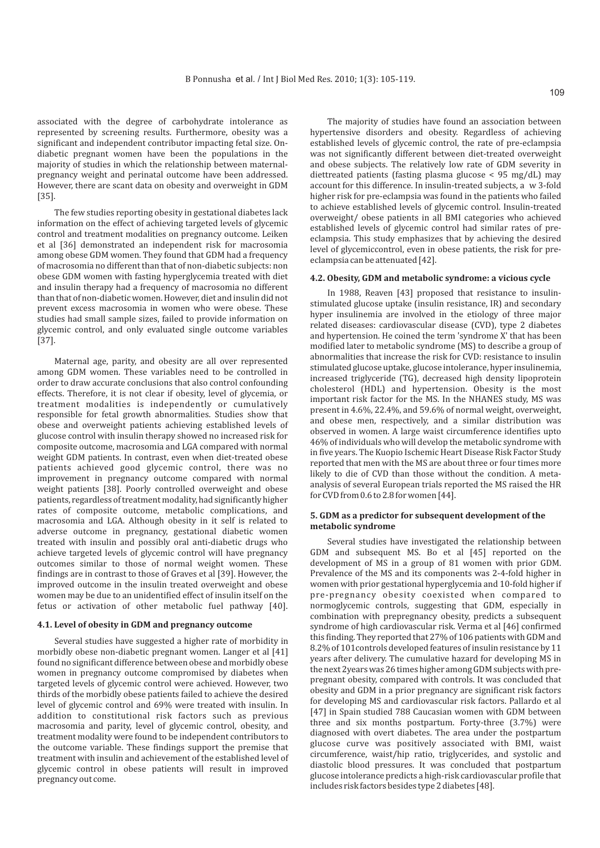associated with the degree of carbohydrate intolerance as represented by screening results. Furthermore, obesity was a significant and independent contributor impacting fetal size. Ondiabetic pregnant women have been the populations in the majority of studies in which the relationship between maternalpregnancy weight and perinatal outcome have been addressed. However, there are scant data on obesity and overweight in GDM [35].

The few studies reporting obesity in gestational diabetes lack information on the effect of achieving targeted levels of glycemic control and treatment modalities on pregnancy outcome. Leiken et al [36] demonstrated an independent risk for macrosomia among obese GDM women. They found that GDM had a frequency of macrosomia no different than that of non-diabetic subjects: non obese GDM women with fasting hyperglycemia treated with diet and insulin therapy had a frequency of macrosomia no different than that of non-diabetic women. However, diet and insulin did not prevent excess macrosomia in women who were obese. These studies had small sample sizes, failed to provide information on glycemic control, and only evaluated single outcome variables [37].

Maternal age, parity, and obesity are all over represented among GDM women. These variables need to be controlled in order to draw accurate conclusions that also control confounding effects. Therefore, it is not clear if obesity, level of glycemia, or treatment modalities is independently or cumulatively responsible for fetal growth abnormalities. Studies show that obese and overweight patients achieving established levels of glucose control with insulin therapy showed no increased risk for composite outcome, macrosomia and LGA compared with normal weight GDM patients. In contrast, even when diet-treated obese patients achieved good glycemic control, there was no improvement in pregnancy outcome compared with normal weight patients [38]. Poorly controlled overweight and obese patients, regardless of treatment modality, had significantly higher rates of composite outcome, metabolic complications, and macrosomia and LGA. Although obesity in it self is related to adverse outcome in pregnancy, gestational diabetic women treated with insulin and possibly oral anti-diabetic drugs who achieve targeted levels of glycemic control will have pregnancy outcomes similar to those of normal weight women. These findings are in contrast to those of Graves et al [39]. However, the improved outcome in the insulin treated overweight and obese women may be due to an unidentified effect of insulin itself on the fetus or activation of other metabolic fuel pathway [40].

# **4.1. Level of obesity in GDM and pregnancy outcome**

Several studies have suggested a higher rate of morbidity in morbidly obese non-diabetic pregnant women. Langer et al [41] found no significant difference between obese and morbidly obese women in pregnancy outcome compromised by diabetes when targeted levels of glycemic control were achieved. However, two thirds of the morbidly obese patients failed to achieve the desired level of glycemic control and 69% were treated with insulin. In addition to constitutional risk factors such as previous macrosomia and parity, level of glycemic control, obesity, and treatment modality were found to be independent contributors to the outcome variable. These findings support the premise that treatment with insulin and achievement of the established level of glycemic control in obese patients will result in improved pregnancy out come.

The majority of studies have found an association between hypertensive disorders and obesity. Regardless of achieving established levels of glycemic control, the rate of pre-eclampsia was not significantly different between diet-treated overweight and obese subjects. The relatively low rate of GDM severity in diettreated patients (fasting plasma glucose < 95 mg/dL) may account for this difference. In insulin-treated subjects, a w 3-fold higher risk for pre-eclampsia was found in the patients who failed to achieve established levels of glycemic control. Insulin-treated overweight/ obese patients in all BMI categories who achieved established levels of glycemic control had similar rates of preeclampsia. This study emphasizes that by achieving the desired level of glycemiccontrol, even in obese patients, the risk for preeclampsia can be attenuated [42].

#### **4.2. Obesity, GDM and metabolic syndrome: a vicious cycle**

In 1988, Reaven [43] proposed that resistance to insulinstimulated glucose uptake (insulin resistance, IR) and secondary hyper insulinemia are involved in the etiology of three major related diseases: cardiovascular disease (CVD), type 2 diabetes and hypertension. He coined the term 'syndrome X' that has been modified later to metabolic syndrome (MS) to describe a group of abnormalities that increase the risk for CVD: resistance to insulin stimulated glucose uptake, glucose intolerance, hyper insulinemia, increased triglyceride (TG), decreased high density lipoprotein cholesterol (HDL) and hypertension. Obesity is the most important risk factor for the MS. In the NHANES study, MS was present in 4.6%, 22.4%, and 59.6% of normal weight, overweight, and obese men, respectively, and a similar distribution was observed in women. A large waist circumference identifies upto 46% of individuals who will develop the metabolic syndrome with in five years. The Kuopio Ischemic Heart Disease Risk Factor Study reported that men with the MS are about three or four times more likely to die of CVD than those without the condition. A metaanalysis of several European trials reported the MS raised the HR for CVD from 0.6 to 2.8 for women [44].

# **5. GDM as a predictor for subsequent development of the metabolic syndrome**

Several studies have investigated the relationship between GDM and subsequent MS. Bo et al [45] reported on the development of MS in a group of 81 women with prior GDM. Prevalence of the MS and its components was 2-4-fold higher in women with prior gestational hyperglycemia and 10-fold higher if pre-pregnancy obesity coexisted when compared to normoglycemic controls, suggesting that GDM, especially in combination with prepregnancy obesity, predicts a subsequent syndrome of high cardiovascular risk. Verma et al [46] confirmed this finding. They reported that 27% of 106 patients with GDM and 8.2% of 101controls developed features of insulin resistance by 11 years after delivery. The cumulative hazard for developing MS in the next 2years was 26 times higher among GDM subjects with prepregnant obesity, compared with controls. It was concluded that obesity and GDM in a prior pregnancy are significant risk factors for developing MS and cardiovascular risk factors. Pallardo et al [47] in Spain studied 788 Caucasian women with GDM between three and six months postpartum. Forty-three (3.7%) were diagnosed with overt diabetes. The area under the postpartum glucose curve was positively associated with BMI, waist circumference, waist/hip ratio, triglycerides, and systolic and diastolic blood pressures. It was concluded that postpartum glucose intolerance predicts a high-risk cardiovascular profile that includes risk factors besides type 2 diabetes [48].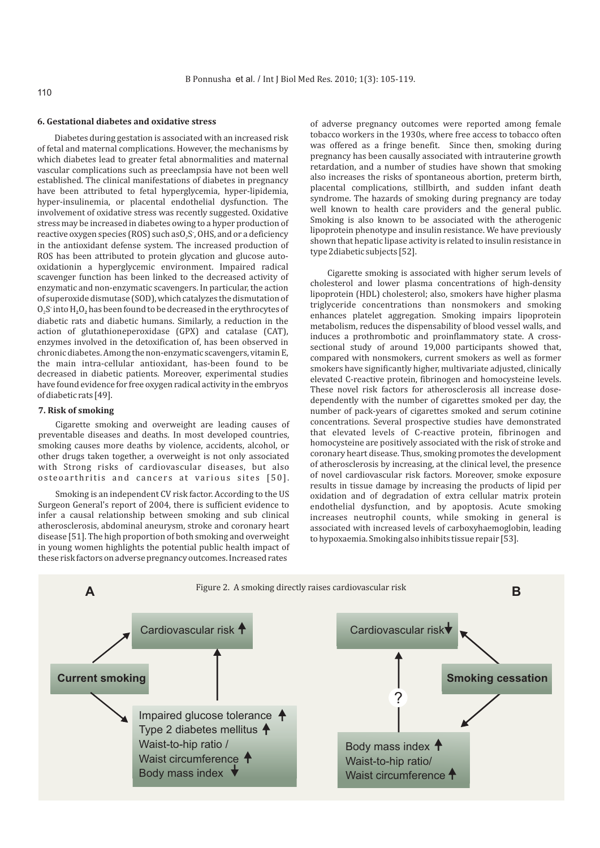# **6. Gestational diabetes and oxidative stress**

Diabetes during gestation is associated with an increased risk of fetal and maternal complications. However, the mechanisms by which diabetes lead to greater fetal abnormalities and maternal vascular complications such as preeclampsia have not been well established. The clinical manifestations of diabetes in pregnancy have been attributed to fetal hyperglycemia, hyper-lipidemia, hyper-insulinemia, or placental endothelial dysfunction. The involvement of oxidative stress was recently suggested. Oxidative stress may be increased in diabetes owing to a hyper production of reactive oxygen species (ROS) such asO<sub>2</sub>S<sup>-</sup>, OHS, and or a deficiency in the antioxidant defense system. The increased production of ROS has been attributed to protein glycation and glucose autooxidationin a hyperglycemic environment. Impaired radical scavenger function has been linked to the decreased activity of enzymatic and non-enzymatic scavengers. In particular, the action of superoxide dismutase (SOD), which catalyzes the dismutation of  $O_2S$  into  $H_2O_2$  has been found to be decreased in the erythrocytes of diabetic rats and diabetic humans. Similarly, a reduction in the action of glutathioneperoxidase (GPX) and catalase (CAT), enzymes involved in the detoxification of, has been observed in chronic diabetes. Among the non-enzymatic scavengers, vitamin E, the main intra-cellular antioxidant, has-been found to be decreased in diabetic patients. Moreover, experimental studies have found evidence for free oxygen radical activity in the embryos of diabetic rats [49].

#### **7. Risk of smoking**

Cigarette smoking and overweight are leading causes of preventable diseases and deaths. In most developed countries, smoking causes more deaths by violence, accidents, alcohol, or other drugs taken together, a overweight is not only associated with Strong risks of cardiovascular diseases, but also osteoarthritis and cancers at various sites [50].

Smoking is an independent CV risk factor. According to the US Surgeon General's report of 2004, there is sufficient evidence to infer a causal relationship between smoking and sub clinical atherosclerosis, abdominal aneurysm, stroke and coronary heart disease [51]. The high proportion of both smoking and overweight in young women highlights the potential public health impact of these risk factors on adverse pregnancy outcomes. Increased rates

of adverse pregnancy outcomes were reported among female tobacco workers in the 1930s, where free access to tobacco often was offered as a fringe benefit. Since then, smoking during pregnancy has been causally associated with intrauterine growth retardation, and a number of studies have shown that smoking also increases the risks of spontaneous abortion, preterm birth, placental complications, stillbirth, and sudden infant death syndrome. The hazards of smoking during pregnancy are today well known to health care providers and the general public. Smoking is also known to be associated with the atherogenic lipoprotein phenotype and insulin resistance. We have previously shown that hepatic lipase activity is related to insulin resistance in type 2diabetic subjects [52].

Cigarette smoking is associated with higher serum levels of cholesterol and lower plasma concentrations of high-density lipoprotein (HDL) cholesterol; also, smokers have higher plasma triglyceride concentrations than nonsmokers and smoking enhances platelet aggregation. Smoking impairs lipoprotein metabolism, reduces the dispensability of blood vessel walls, and induces a prothrombotic and proinflammatory state. A crosssectional study of around 19,000 participants showed that, compared with nonsmokers, current smokers as well as former smokers have significantly higher, multivariate adjusted, clinically elevated C-reactive protein, fibrinogen and homocysteine levels. These novel risk factors for atherosclerosis all increase dosedependently with the number of cigarettes smoked per day, the number of pack-years of cigarettes smoked and serum cotinine concentrations. Several prospective studies have demonstrated that elevated levels of C-reactive protein, fibrinogen and homocysteine are positively associated with the risk of stroke and coronary heart disease. Thus, smoking promotes the development of atherosclerosis by increasing, at the clinical level, the presence of novel cardiovascular risk factors. Moreover, smoke exposure results in tissue damage by increasing the products of lipid per oxidation and of degradation of extra cellular matrix protein endothelial dysfunction, and by apoptosis. Acute smoking increases neutrophil counts, while smoking in general is associated with increased levels of carboxyhaemoglobin, leading to hypoxaemia. Smoking also inhibits tissue repair [53].

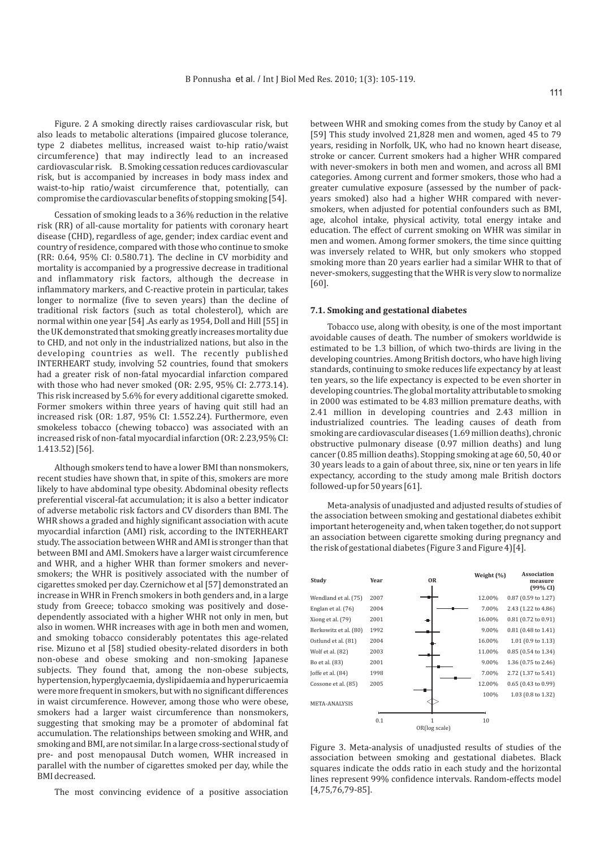Figure. 2 A smoking directly raises cardiovascular risk, but also leads to metabolic alterations (impaired glucose tolerance, type 2 diabetes mellitus, increased waist to-hip ratio/waist circumference) that may indirectly lead to an increased cardiovascular risk. B. Smoking cessation reduces cardiovascular risk, but is accompanied by increases in body mass index and waist-to-hip ratio/waist circumference that, potentially, can compromise the cardiovascular benefits of stopping smoking [54].

Cessation of smoking leads to a 36% reduction in the relative risk (RR) of all-cause mortality for patients with coronary heart disease (CHD), regardless of age, gender; index cardiac event and country of residence, compared with those who continue to smoke (RR: 0.64, 95% CI: 0.580.71). The decline in CV morbidity and mortality is accompanied by a progressive decrease in traditional and inflammatory risk factors, although the decrease in inflammatory markers, and C-reactive protein in particular, takes longer to normalize (five to seven years) than the decline of traditional risk factors (such as total cholesterol), which are normal within one year [54] .As early as 1954, Doll and Hill [55] in the UK demonstrated that smoking greatly increases mortality due to CHD, and not only in the industrialized nations, but also in the developing countries as well. The recently published INTERHEART study, involving 52 countries, found that smokers had a greater risk of non-fatal myocardial infarction compared with those who had never smoked (OR: 2.95, 95% CI: 2.773.14). This risk increased by 5.6% for every additional cigarette smoked. Former smokers within three years of having quit still had an increased risk (OR: 1.87, 95% CI: 1.552.24). Furthermore, even smokeless tobacco (chewing tobacco) was associated with an increased risk of non-fatal myocardial infarction (OR: 2.23,95% CI: 1.413.52) [56].

Although smokers tend to have a lower BMI than nonsmokers, recent studies have shown that, in spite of this, smokers are more likely to have abdominal type obesity. Abdominal obesity reflects preferential visceral-fat accumulation; it is also a better indicator of adverse metabolic risk factors and CV disorders than BMI. The WHR shows a graded and highly significant association with acute myocardial infarction (AMI) risk, according to the INTERHEART study. The association between WHR and AMI is stronger than that between BMI and AMI. Smokers have a larger waist circumference and WHR, and a higher WHR than former smokers and neversmokers; the WHR is positively associated with the number of cigarettes smoked per day. Czernichow et al [57] demonstrated an increase in WHR in French smokers in both genders and, in a large study from Greece; tobacco smoking was positively and dosedependently associated with a higher WHR not only in men, but also in women. WHR increases with age in both men and women, and smoking tobacco considerably potentates this age-related rise. Mizuno et al [58] studied obesity-related disorders in both non-obese and obese smoking and non-smoking Japanese subjects. They found that, among the non-obese subjects, hypertension, hyperglycaemia, dyslipidaemia and hyperuricaemia were more frequent in smokers, but with no significant differences in waist circumference. However, among those who were obese, smokers had a larger waist circumference than nonsmokers, suggesting that smoking may be a promoter of abdominal fat accumulation. The relationships between smoking and WHR, and smoking and BMI, are not similar. In a large cross-sectional study of pre- and post menopausal Dutch women, WHR increased in parallel with the number of cigarettes smoked per day, while the BMI decreased.

The most convincing evidence of a positive association

between WHR and smoking comes from the study by Canoy et al [59] This study involved 21,828 men and women, aged 45 to 79 years, residing in Norfolk, UK, who had no known heart disease, stroke or cancer. Current smokers had a higher WHR compared with never-smokers in both men and women, and across all BMI categories. Among current and former smokers, those who had a greater cumulative exposure (assessed by the number of packyears smoked) also had a higher WHR compared with neversmokers, when adjusted for potential confounders such as BMI, age, alcohol intake, physical activity, total energy intake and education. The effect of current smoking on WHR was similar in men and women. Among former smokers, the time since quitting was inversely related to WHR, but only smokers who stopped smoking more than 20 years earlier had a similar WHR to that of never-smokers, suggesting that the WHR is very slow to normalize [60].

#### **7.1. Smoking and gestational diabetes**

Tobacco use, along with obesity, is one of the most important avoidable causes of death. The number of smokers worldwide is estimated to be 1.3 billion, of which two-thirds are living in the developing countries. Among British doctors, who have high living standards, continuing to smoke reduces life expectancy by at least ten years, so the life expectancy is expected to be even shorter in developing countries. The global mortality attributable to smoking in 2000 was estimated to be 4.83 million premature deaths, with 2.41 million in developing countries and 2.43 million in industrialized countries. The leading causes of death from smoking are cardiovascular diseases (1.69 million deaths), chronic obstructive pulmonary disease (0.97 million deaths) and lung cancer (0.85 million deaths). Stopping smoking at age 60, 50, 40 or 30 years leads to a gain of about three, six, nine or ten years in life expectancy, according to the study among male British doctors followed-up for 50 years [61].

Meta-analysis of unadjusted and adjusted results of studies of the association between smoking and gestational diabetes exhibit important heterogeneity and, when taken together, do not support an association between cigarette smoking during pregnancy and the risk of gestational diabetes (Figure 3 and Figure 4)[4].



Figure 3. Meta-analysis of unadjusted results of studies of the association between smoking and gestational diabetes. Black squares indicate the odds ratio in each study and the horizontal lines represent 99% confidence intervals. Random-effects model [4,75,76,79-85].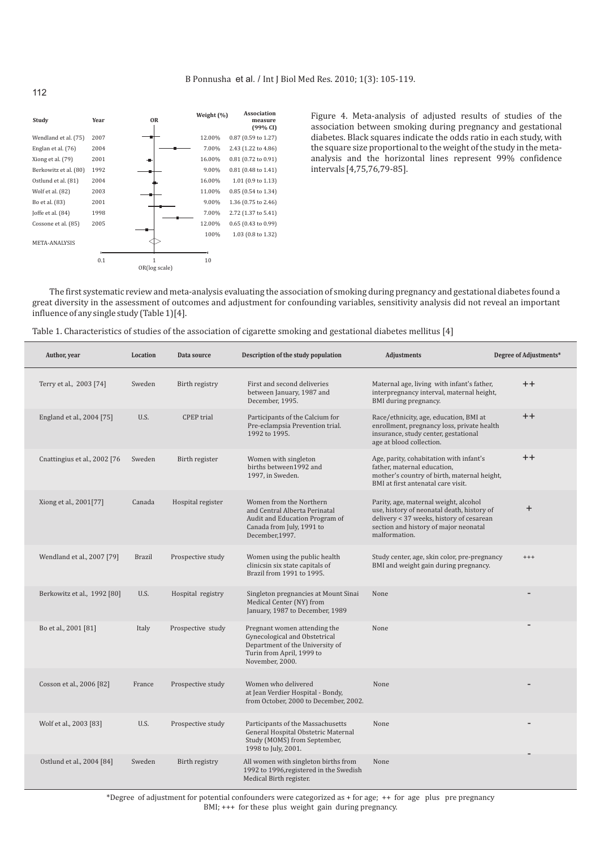

Figure 4. Meta-analysis of adjusted results of studies of the association between smoking during pregnancy and gestational diabetes. Black squares indicate the odds ratio in each study, with the square size proportional to the weight of the study in the metaanalysis and the horizontal lines represent 99% confidence intervals [4,75,76,79-85].

The first systematic review and meta-analysis evaluating the association of smoking during pregnancy and gestational diabetes found a great diversity in the assessment of outcomes and adjustment for confounding variables, sensitivity analysis did not reveal an important influence of any single study (Table 1)[4].

| Table 1. Characteristics of studies of the association of cigarette smoking and gestational diabetes mellitus [4] |  |  |
|-------------------------------------------------------------------------------------------------------------------|--|--|
|                                                                                                                   |  |  |

| Author, year                 | Location      | Data source       | Description of the study population                                                                                                              | Adjustments                                                                                                                                                                               | Degree of Adjustments* |
|------------------------------|---------------|-------------------|--------------------------------------------------------------------------------------------------------------------------------------------------|-------------------------------------------------------------------------------------------------------------------------------------------------------------------------------------------|------------------------|
| Terry et al., 2003 [74]      | Sweden        | Birth registry    | First and second deliveries<br>between January, 1987 and<br>December, 1995.                                                                      | Maternal age, living with infant's father,<br>interpregnancy interval, maternal height,<br>BMI during pregnancy.                                                                          | $++$                   |
| England et al., 2004 [75]    | U.S.          | <b>CPEP</b> trial | Participants of the Calcium for<br>Pre-eclampsia Prevention trial.<br>1992 to 1995.                                                              | Race/ethnicity, age, education, BMI at<br>enrollment, pregnancy loss, private health<br>insurance, study center, gestational<br>age at blood collection.                                  | $++$                   |
| Cnattingius et al., 2002 [76 | Sweden        | Birth register    | Women with singleton<br>births between1992 and<br>1997. in Sweden.                                                                               | Age, parity, cohabitation with infant's<br>father, maternal education,<br>mother's country of birth, maternal height,<br>BMI at first antenatal care visit.                               | $++$                   |
| Xiong et al., 2001[77]       | Canada        | Hospital register | Women from the Northern<br>and Central Alberta Perinatal<br>Audit and Education Program of<br>Canada from July, 1991 to<br>December, 1997.       | Parity, age, maternal weight, alcohol<br>use, history of neonatal death, history of<br>delivery < 37 weeks, history of cesarean<br>section and history of major neonatal<br>malformation. | $+$                    |
| Wendland et al., 2007 [79]   | <b>Brazil</b> | Prospective study | Women using the public health<br>clinicsin six state capitals of<br>Brazil from 1991 to 1995.                                                    | Study center, age, skin color, pre-pregnancy<br>BMI and weight gain during pregnancy.                                                                                                     | $+++$                  |
| Berkowitz et al., 1992 [80]  | U.S.          | Hospital registry | Singleton pregnancies at Mount Sinai<br>Medical Center (NY) from<br>January, 1987 to December, 1989                                              | None                                                                                                                                                                                      |                        |
| Bo et al., 2001 [81]         | Italy         | Prospective study | Pregnant women attending the<br>Gynecological and Obstetrical<br>Department of the University of<br>Turin from April, 1999 to<br>November, 2000. | None                                                                                                                                                                                      |                        |
| Cosson et al., 2006 [82]     | France        | Prospective study | Women who delivered<br>at Jean Verdier Hospital - Bondy,<br>from October, 2000 to December, 2002.                                                | None                                                                                                                                                                                      |                        |
| Wolf et al., 2003 [83]       | U.S.          | Prospective study | Participants of the Massachusetts<br>General Hospital Obstetric Maternal<br>Study (MOMS) from September,<br>1998 to July, 2001.                  | None                                                                                                                                                                                      |                        |
| Ostlund et al., 2004 [84]    | Sweden        | Birth registry    | All women with singleton births from<br>1992 to 1996, registered in the Swedish<br>Medical Birth register.                                       | None                                                                                                                                                                                      |                        |

\*Degree of adjustment for potential confounders were categorized as + for age; ++ for age plus pre pregnancy BMI; +++ for these plus weight gain during pregnancy.

112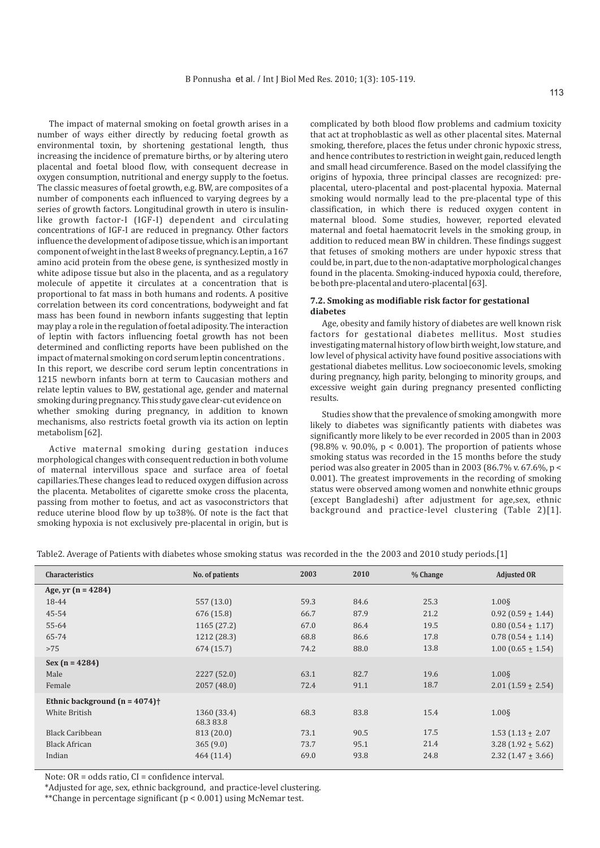The impact of maternal smoking on foetal growth arises in a number of ways either directly by reducing foetal growth as environmental toxin, by shortening gestational length, thus increasing the incidence of premature births, or by altering utero placental and foetal blood flow, with consequent decrease in oxygen consumption, nutritional and energy supply to the foetus. The classic measures of foetal growth, e.g. BW, are composites of a number of components each influenced to varying degrees by a series of growth factors. Longitudinal growth in utero is insulinlike growth factor-I (IGF-I) dependent and circulating concentrations of IGF-I are reduced in pregnancy. Other factors influence the development of adipose tissue, which is an important component of weight in the last 8 weeks of pregnancy. Leptin, a 167 amino acid protein from the obese gene, is synthesized mostly in white adipose tissue but also in the placenta, and as a regulatory molecule of appetite it circulates at a concentration that is proportional to fat mass in both humans and rodents. A positive correlation between its cord concentrations, bodyweight and fat mass has been found in newborn infants suggesting that leptin may play a role in the regulation of foetal adiposity. The interaction of leptin with factors influencing foetal growth has not been determined and conflicting reports have been published on the impact of maternal smoking on cord serum leptin concentrations . In this report, we describe cord serum leptin concentrations in 1215 newborn infants born at term to Caucasian mothers and relate leptin values to BW, gestational age, gender and maternal smoking during pregnancy. This study gave clear-cut evidence on whether smoking during pregnancy, in addition to known mechanisms, also restricts foetal growth via its action on leptin metabolism [62].

Active maternal smoking during gestation induces morphological changes with consequent reduction in both volume of maternal intervillous space and surface area of foetal capillaries.These changes lead to reduced oxygen diffusion across the placenta. Metabolites of cigarette smoke cross the placenta, passing from mother to foetus, and act as vasoconstrictors that reduce uterine blood flow by up to38%. Of note is the fact that smoking hypoxia is not exclusively pre-placental in origin, but is

complicated by both blood flow problems and cadmium toxicity that act at trophoblastic as well as other placental sites. Maternal smoking, therefore, places the fetus under chronic hypoxic stress, and hence contributes to restriction in weight gain, reduced length and small head circumference. Based on the model classifying the origins of hypoxia, three principal classes are recognized: preplacental, utero-placental and post-placental hypoxia. Maternal smoking would normally lead to the pre-placental type of this classification, in which there is reduced oxygen content in maternal blood. Some studies, however, reported elevated maternal and foetal haematocrit levels in the smoking group, in addition to reduced mean BW in children. These findings suggest that fetuses of smoking mothers are under hypoxic stress that could be, in part, due to the non-adaptative morphological changes found in the placenta. Smoking-induced hypoxia could, therefore, be both pre-placental and utero-placental [63].

# **7.2. Smoking as modifiable risk factor for gestational diabetes**

Age, obesity and family history of diabetes are well known risk factors for gestational diabetes mellitus. Most studies investigating maternal history of low birth weight, low stature, and low level of physical activity have found positive associations with gestational diabetes mellitus. Low socioeconomic levels, smoking during pregnancy, high parity, belonging to minority groups, and excessive weight gain during pregnancy presented conflicting results.

Studies show that the prevalence of smoking amongwith more likely to diabetes was significantly patients with diabetes was significantly more likely to be ever recorded in 2005 than in 2003 (98.8% v. 90.0%,  $p < 0.001$ ). The proportion of patients whose smoking status was recorded in the 15 months before the study period was also greater in 2005 than in 2003 (86.7% v. 67.6%, p < 0.001). The greatest improvements in the recording of smoking status were observed among women and nonwhite ethnic groups (except Bangladeshi) after adjustment for age,sex, ethnic background and practice-level clustering (Table 2)[1].

Table2. Average of Patients with diabetes whose smoking status was recorded in the the 2003 and 2010 study periods.[1]

| Characteristics                             | No. of patients         | 2003 | 2010 | % Change | <b>Adjusted OR</b>       |
|---------------------------------------------|-------------------------|------|------|----------|--------------------------|
| Age, yr $(n = 4284)$                        |                         |      |      |          |                          |
| 18-44                                       | 557 (13.0)              | 59.3 | 84.6 | 25.3     | $1.00\S$                 |
| 45-54                                       | 676 (15.8)              | 66.7 | 87.9 | 21.2     | $0.92(0.59 \pm 1.44)$    |
| 55-64                                       | 1165 (27.2)             | 67.0 | 86.4 | 19.5     | $0.80$ (0.54 + 1.17)     |
| 65-74                                       | 1212 (28.3)             | 68.8 | 86.6 | 17.8     | $0.78$ (0.54 $\pm$ 1.14) |
| >75                                         | 674 (15.7)              | 74.2 | 88.0 | 13.8     | $1.00$ (0.65 $\pm$ 1.54) |
| $Sex(n = 4284)$                             |                         |      |      |          |                          |
| Male                                        | 2227 (52.0)             | 63.1 | 82.7 | 19.6     | $1.00\$                  |
| Female                                      | 2057 (48.0)             | 72.4 | 91.1 | 18.7     | $2.01(1.59 \pm 2.54)$    |
| Ethnic background $(n = 4074)$ <sup>+</sup> |                         |      |      |          |                          |
| White British                               | 1360 (33.4)<br>68.383.8 | 68.3 | 83.8 | 15.4     | $1.00\$                  |
| <b>Black Caribbean</b>                      | 813 (20.0)              | 73.1 | 90.5 | 17.5     | $1.53(1.13 \pm 2.07)$    |
| <b>Black African</b>                        | 365(9.0)                | 73.7 | 95.1 | 21.4     | $3.28(1.92 \pm 5.62)$    |
| Indian                                      | 464 (11.4)              | 69.0 | 93.8 | 24.8     | $2.32$ (1.47 $\pm$ 3.66) |

Note: OR = odds ratio, CI = confidence interval.

\*Adjusted for age, sex, ethnic background, and practice-level clustering.

\*\*Change in percentage significant (p < 0.001) using McNemar test.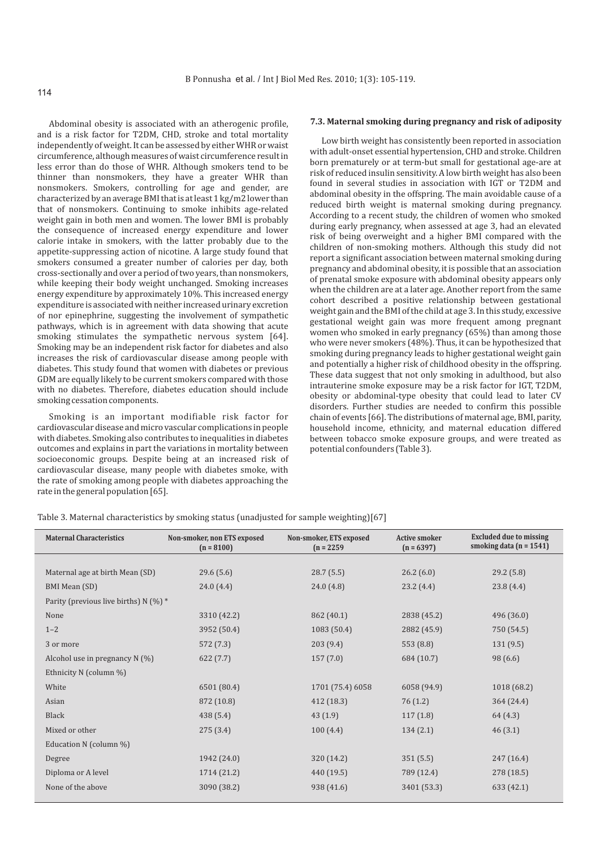Abdominal obesity is associated with an atherogenic profile, and is a risk factor for T2DM, CHD, stroke and total mortality independently of weight. It can be assessed by either WHR or waist circumference, although measures of waist circumference result in less error than do those of WHR. Although smokers tend to be thinner than nonsmokers, they have a greater WHR than nonsmokers. Smokers, controlling for age and gender, are characterized by an average BMI that is at least 1 kg/m2 lower than that of nonsmokers. Continuing to smoke inhibits age-related weight gain in both men and women. The lower BMI is probably the consequence of increased energy expenditure and lower calorie intake in smokers, with the latter probably due to the appetite-suppressing action of nicotine. A large study found that smokers consumed a greater number of calories per day, both cross-sectionally and over a period of two years, than nonsmokers, while keeping their body weight unchanged. Smoking increases energy expenditure by approximately 10%. This increased energy expenditure is associated with neither increased urinary excretion of nor epinephrine, suggesting the involvement of sympathetic pathways, which is in agreement with data showing that acute smoking stimulates the sympathetic nervous system [64]. Smoking may be an independent risk factor for diabetes and also increases the risk of cardiovascular disease among people with diabetes. This study found that women with diabetes or previous GDM are equally likely to be current smokers compared with those with no diabetes. Therefore, diabetes education should include smoking cessation components.

Smoking is an important modifiable risk factor for cardiovascular disease and micro vascular complications in people with diabetes. Smoking also contributes to inequalities in diabetes outcomes and explains in part the variations in mortality between socioeconomic groups. Despite being at an increased risk of cardiovascular disease, many people with diabetes smoke, with the rate of smoking among people with diabetes approaching the rate in the general population [65].

#### **7.3. Maternal smoking during pregnancy and risk of adiposity**

Low birth weight has consistently been reported in association with adult-onset essential hypertension, CHD and stroke. Children born prematurely or at term-but small for gestational age-are at risk of reduced insulin sensitivity. A low birth weight has also been found in several studies in association with IGT or T2DM and abdominal obesity in the offspring. The main avoidable cause of a reduced birth weight is maternal smoking during pregnancy. According to a recent study, the children of women who smoked during early pregnancy, when assessed at age 3, had an elevated risk of being overweight and a higher BMI compared with the children of non-smoking mothers. Although this study did not report a significant association between maternal smoking during pregnancy and abdominal obesity, it is possible that an association of prenatal smoke exposure with abdominal obesity appears only when the children are at a later age. Another report from the same cohort described a positive relationship between gestational weight gain and the BMI of the child at age 3. In this study, excessive gestational weight gain was more frequent among pregnant women who smoked in early pregnancy (65%) than among those who were never smokers (48%). Thus, it can be hypothesized that smoking during pregnancy leads to higher gestational weight gain and potentially a higher risk of childhood obesity in the offspring. These data suggest that not only smoking in adulthood, but also intrauterine smoke exposure may be a risk factor for IGT, T2DM, obesity or abdominal-type obesity that could lead to later CV disorders. Further studies are needed to confirm this possible chain of events [66]. The distributions of maternal age, BMI, parity, household income, ethnicity, and maternal education differed between tobacco smoke exposure groups, and were treated as potential confounders (Table 3).

Table 3. Maternal characteristics by smoking status (unadjusted for sample weighting)[67]

| <b>Maternal Characteristics</b>          | Non-smoker, non ETS exposed<br>$(n = 8100)$ | Non-smoker, ETS exposed<br>$(n = 2259)$ | <b>Active smoker</b><br>$(n = 6397)$ | <b>Excluded due to missing</b><br>smoking data $(n = 1541)$ |
|------------------------------------------|---------------------------------------------|-----------------------------------------|--------------------------------------|-------------------------------------------------------------|
|                                          |                                             |                                         |                                      |                                                             |
| Maternal age at birth Mean (SD)          | 29.6(5.6)                                   | 28.7(5.5)                               | 26.2(6.0)                            | 29.2(5.8)                                                   |
| BMI Mean (SD)                            | 24.0(4.4)                                   | 24.0(4.8)                               | 23.2(4.4)                            | 23.8(4.4)                                                   |
| Parity (previous live births) N $(\%)$ * |                                             |                                         |                                      |                                                             |
| None                                     | 3310 (42.2)                                 | 862 (40.1)                              | 2838 (45.2)                          | 496 (36.0)                                                  |
| $1 - 2$                                  | 3952 (50.4)                                 | 1083 (50.4)                             | 2882 (45.9)                          | 750 (54.5)                                                  |
| 3 or more                                | 572 (7.3)                                   | 203 (9.4)                               | 553 (8.8)                            | 131(9.5)                                                    |
| Alcohol use in pregnancy $N(\%)$         | 622(7.7)                                    | 157(7.0)                                | 684 (10.7)                           | 98(6.6)                                                     |
| Ethnicity N (column %)                   |                                             |                                         |                                      |                                                             |
| White                                    | 6501 (80.4)                                 | 1701 (75.4) 6058                        | 6058 (94.9)                          | 1018 (68.2)                                                 |
| Asian                                    | 872 (10.8)                                  | 412 (18.3)                              | 76 (1.2)                             | 364 (24.4)                                                  |
| <b>Black</b>                             | 438(5.4)                                    | 43(1.9)                                 | 117(1.8)                             | 64 (4.3)                                                    |
| Mixed or other                           | 275(3.4)                                    | 100(4.4)                                | 134(2.1)                             | 46(3.1)                                                     |
| Education N (column %)                   |                                             |                                         |                                      |                                                             |
| Degree                                   | 1942 (24.0)                                 | 320 (14.2)                              | 351(5.5)                             | 247 (16.4)                                                  |
| Diploma or A level                       | 1714 (21.2)                                 | 440 (19.5)                              | 789 (12.4)                           | 278(18.5)                                                   |
| None of the above                        | 3090 (38.2)                                 | 938 (41.6)                              | 3401 (53.3)                          | 633 (42.1)                                                  |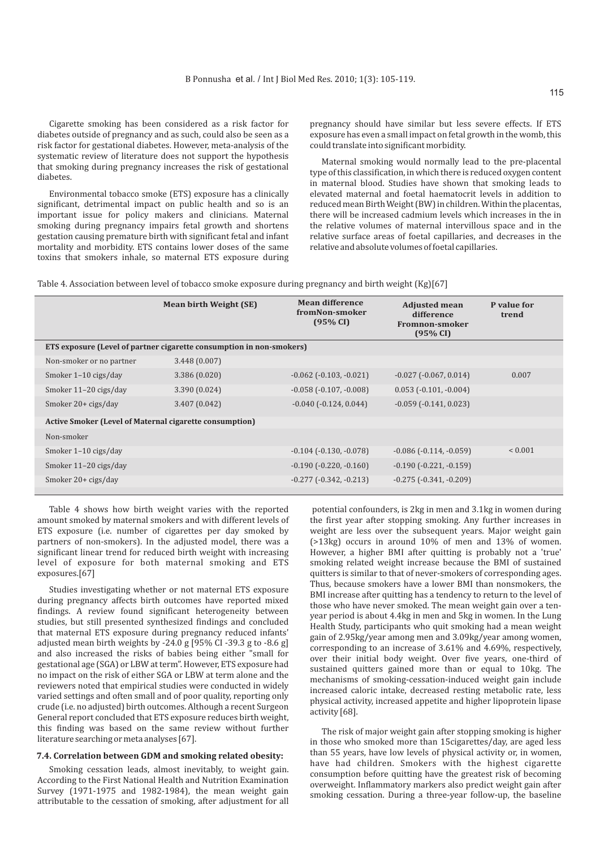Cigarette smoking has been considered as a risk factor for diabetes outside of pregnancy and as such, could also be seen as a risk factor for gestational diabetes. However, meta-analysis of the systematic review of literature does not support the hypothesis that smoking during pregnancy increases the risk of gestational diabetes.

Environmental tobacco smoke (ETS) exposure has a clinically significant, detrimental impact on public health and so is an important issue for policy makers and clinicians. Maternal smoking during pregnancy impairs fetal growth and shortens gestation causing premature birth with significant fetal and infant mortality and morbidity. ETS contains lower doses of the same toxins that smokers inhale, so maternal ETS exposure during pregnancy should have similar but less severe effects. If ETS exposure has even a small impact on fetal growth in the womb, this could translate into significant morbidity.

Maternal smoking would normally lead to the pre-placental type of this classification, in which there is reduced oxygen content in maternal blood. Studies have shown that smoking leads to elevated maternal and foetal haematocrit levels in addition to reduced mean Birth Weight (BW) in children. Within the placentas, there will be increased cadmium levels which increases in the in the relative volumes of maternal intervillous space and in the relative surface areas of foetal capillaries, and decreases in the relative and absolute volumes of foetal capillaries.

Table 4. Association between level of tobacco smoke exposure during pregnancy and birth weight (Kg)[67]

|                                                                      | <b>Mean birth Weight (SE)</b> | <b>Mean difference</b><br>fromNon-smoker<br>(95% CI) | <b>Adjusted mean</b><br>difference<br>Fromnon-smoker<br>(95% CI) | P value for<br>trend |  |  |  |
|----------------------------------------------------------------------|-------------------------------|------------------------------------------------------|------------------------------------------------------------------|----------------------|--|--|--|
| ETS exposure (Level of partner cigarette consumption in non-smokers) |                               |                                                      |                                                                  |                      |  |  |  |
| Non-smoker or no partner                                             | 3.448(0.007)                  |                                                      |                                                                  |                      |  |  |  |
| Smoker 1-10 cigs/day                                                 | 3.386 (0.020)                 | $-0.062$ ( $-0.103$ , $-0.021$ )                     | $-0.027$ ( $-0.067$ , $0.014$ )                                  | 0.007                |  |  |  |
| Smoker 11-20 cigs/day                                                | 3.390 (0.024)                 | $-0.058$ ( $-0.107$ , $-0.008$ )                     | $0.053$ ( $-0.101$ , $-0.004$ )                                  |                      |  |  |  |
| Smoker 20+ cigs/day                                                  | 3.407 (0.042)                 | $-0.040$ $(-0.124, 0.044)$                           | $-0.059$ ( $-0.141$ , $0.023$ )                                  |                      |  |  |  |
| <b>Active Smoker (Level of Maternal cigarette consumption)</b>       |                               |                                                      |                                                                  |                      |  |  |  |
| Non-smoker                                                           |                               |                                                      |                                                                  |                      |  |  |  |
| Smoker 1-10 cigs/day                                                 |                               | $-0.104$ $(-0.130, -0.078)$                          | $-0.086$ ( $-0.114$ , $-0.059$ )                                 | ${}_{0.001}$         |  |  |  |
| Smoker 11-20 cigs/day                                                |                               | $-0.190$ $(-0.220, -0.160)$                          | $-0.190$ $(-0.221, -0.159)$                                      |                      |  |  |  |
| Smoker 20+ cigs/day                                                  |                               | $-0.277$ $(-0.342, -0.213)$                          | $-0.275$ $(-0.341, -0.209)$                                      |                      |  |  |  |
|                                                                      |                               |                                                      |                                                                  |                      |  |  |  |

Table 4 shows how birth weight varies with the reported amount smoked by maternal smokers and with different levels of ETS exposure (i.e. number of cigarettes per day smoked by partners of non-smokers). In the adjusted model, there was a significant linear trend for reduced birth weight with increasing level of exposure for both maternal smoking and ETS exposures.[67]

Studies investigating whether or not maternal ETS exposure during pregnancy affects birth outcomes have reported mixed findings. A review found significant heterogeneity between studies, but still presented synthesized findings and concluded that maternal ETS exposure during pregnancy reduced infants' adjusted mean birth weights by -24.0 g [95% CI -39.3 g to -8.6 g] and also increased the risks of babies being either "small for gestational age (SGA) or LBW at term". However, ETS exposure had no impact on the risk of either SGA or LBW at term alone and the reviewers noted that empirical studies were conducted in widely varied settings and often small and of poor quality, reporting only crude (i.e. no adjusted) birth outcomes. Although a recent Surgeon General report concluded that ETS exposure reduces birth weight, this finding was based on the same review without further literature searching or meta analyses [67].

#### **7.4. Correlation between GDM and smoking related obesity:**

Smoking cessation leads, almost inevitably, to weight gain. According to the First National Health and Nutrition Examination Survey (1971-1975 and 1982-1984), the mean weight gain attributable to the cessation of smoking, after adjustment for all

potential confounders, is 2kg in men and 3.1kg in women during the first year after stopping smoking. Any further increases in weight are less over the subsequent years. Major weight gain (>13kg) occurs in around 10% of men and 13% of women. However, a higher BMI after quitting is probably not a 'true' smoking related weight increase because the BMI of sustained quitters is similar to that of never-smokers of corresponding ages. Thus, because smokers have a lower BMI than nonsmokers, the BMI increase after quitting has a tendency to return to the level of those who have never smoked. The mean weight gain over a tenyear period is about 4.4kg in men and 5kg in women. In the Lung Health Study, participants who quit smoking had a mean weight gain of 2.95kg/year among men and 3.09kg/year among women, corresponding to an increase of 3.61% and 4.69%, respectively, over their initial body weight. Over five years, one-third of sustained quitters gained more than or equal to 10kg. The mechanisms of smoking-cessation-induced weight gain include increased caloric intake, decreased resting metabolic rate, less physical activity, increased appetite and higher lipoprotein lipase activity [68].

The risk of major weight gain after stopping smoking is higher in those who smoked more than 15cigarettes/day, are aged less than 55 years, have low levels of physical activity or, in women, have had children. Smokers with the highest cigarette consumption before quitting have the greatest risk of becoming overweight. Inflammatory markers also predict weight gain after smoking cessation. During a three-year follow-up, the baseline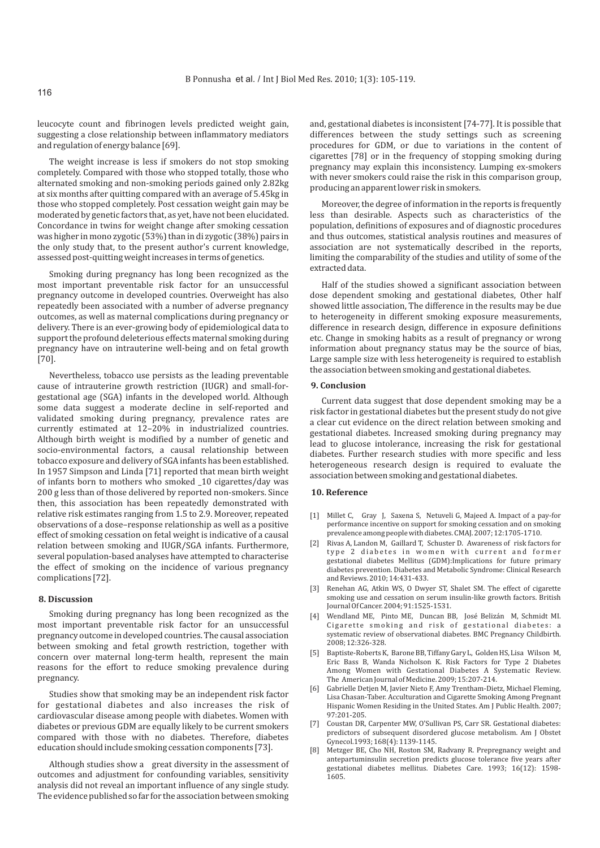leucocyte count and fibrinogen levels predicted weight gain, suggesting a close relationship between inflammatory mediators and regulation of energy balance [69].

The weight increase is less if smokers do not stop smoking completely. Compared with those who stopped totally, those who alternated smoking and non-smoking periods gained only 2.82kg at six months after quitting compared with an average of 5.45kg in those who stopped completely. Post cessation weight gain may be moderated by genetic factors that, as yet, have not been elucidated. Concordance in twins for weight change after smoking cessation was higher in mono zygotic (53%) than in di zygotic (38%) pairs in the only study that, to the present author's current knowledge, assessed post-quitting weight increases in terms of genetics.

Smoking during pregnancy has long been recognized as the most important preventable risk factor for an unsuccessful pregnancy outcome in developed countries. Overweight has also repeatedly been associated with a number of adverse pregnancy outcomes, as well as maternal complications during pregnancy or delivery. There is an ever-growing body of epidemiological data to support the profound deleterious effects maternal smoking during pregnancy have on intrauterine well-being and on fetal growth [70].

Nevertheless, tobacco use persists as the leading preventable cause of intrauterine growth restriction (IUGR) and small-forgestational age (SGA) infants in the developed world. Although some data suggest a moderate decline in self-reported and validated smoking during pregnancy, prevalence rates are currently estimated at 12–20% in industrialized countries. Although birth weight is modified by a number of genetic and socio-environmental factors, a causal relationship between tobacco exposure and delivery of SGA infants has been established. In 1957 Simpson and Linda [71] reported that mean birth weight of infants born to mothers who smoked \_10 cigarettes/day was 200 g less than of those delivered by reported non-smokers. Since then, this association has been repeatedly demonstrated with relative risk estimates ranging from 1.5 to 2.9. Moreover, repeated observations of a dose–response relationship as well as a positive effect of smoking cessation on fetal weight is indicative of a causal relation between smoking and IUGR/SGA infants. Furthermore, several population-based analyses have attempted to characterise the effect of smoking on the incidence of various pregnancy complications [72].

# **8. Discussion**

Smoking during pregnancy has long been recognized as the most important preventable risk factor for an unsuccessful pregnancy outcome in developed countries. The causal association between smoking and fetal growth restriction, together with concern over maternal long-term health, represent the main reasons for the effort to reduce smoking prevalence during pregnancy.

Studies show that smoking may be an independent risk factor for gestational diabetes and also increases the risk of cardiovascular disease among people with diabetes. Women with diabetes or previous GDM are equally likely to be current smokers compared with those with no diabetes. Therefore, diabetes education should include smoking cessation components [73].

Although studies show a great diversity in the assessment of outcomes and adjustment for confounding variables, sensitivity analysis did not reveal an important influence of any single study. The evidence published so far for the association between smoking and, gestational diabetes is inconsistent [74-77]. It is possible that differences between the study settings such as screening procedures for GDM, or due to variations in the content of cigarettes [78] or in the frequency of stopping smoking during pregnancy may explain this inconsistency. Lumping ex-smokers with never smokers could raise the risk in this comparison group, producing an apparent lower risk in smokers.

Moreover, the degree of information in the reports is frequently less than desirable. Aspects such as characteristics of the population, definitions of exposures and of diagnostic procedures and thus outcomes, statistical analysis routines and measures of association are not systematically described in the reports, limiting the comparability of the studies and utility of some of the extracted data.

Half of the studies showed a significant association between dose dependent smoking and gestational diabetes, Other half showed little association, The difference in the results may be due to heterogeneity in different smoking exposure measurements, difference in research design, difference in exposure definitions etc. Change in smoking habits as a result of pregnancy or wrong information about pregnancy status may be the source of bias, Large sample size with less heterogeneity is required to establish the association between smoking and gestational diabetes.

#### **9. Conclusion**

Current data suggest that dose dependent smoking may be a risk factor in gestational diabetes but the present study do not give a clear cut evidence on the direct relation between smoking and gestational diabetes. Increased smoking during pregnancy may lead to glucose intolerance, increasing the risk for gestational diabetes. Further research studies with more specific and less heterogeneous research design is required to evaluate the association between smoking and gestational diabetes.

# **10. Reference**

- [ 1] Millet C, Gray J, Saxena S, Netuveli G, Majeed A. Impact of a pay-for performance incentive on support for smoking cessation and on smoking prevalence among people with diabetes. CMAJ. 2007; 12:1705-1710.
- $[2]$ 2] Rivas A, Landon M, Gaillard T, Schuster D. Awareness of risk factors for type 2 diabetes in women with current and former gestational diabetes Mellitus (GDM):Implications for future primary diabetes prevention. Diabetes and Metabolic Syndrome: Clinical Research and Reviews. 2010; 14:431-433.
- $[ 3]$ 3 Renehan AG, Atkin WS, O Dwyer ST, Shalet SM. The effect of cigarette smoking use and cessation on serum insulin-like growth factors. British Journal Of Cancer. 2004; 91:1525-1531.
- [4] Wendland ME, Pinto ME, Duncan BB, José Belizán M, Schmidt MI. Cigarette smoking and risk of gestational diabetes: a systematic review of observational diabetes. BMC Pregnancy Childbirth. 2008; 12:326-328.
- $[ 5]$ 5 Baptiste-Roberts K, Barone BB, Tiffany Gary L, Golden HS, Lisa Wilson M, Eric Bass B, Wanda Nicholson K. Risk Factors for Type 2 Diabetes Among Women with Gestational Diabetes A Systematic Review. The American Journal of Medicine. 2009; 15:207-214.
- $[6]$ 6 Gabrielle Detjen M, Javier Nieto F, Amy Trentham-Dietz, Michael Fleming, Lisa Chasan-Taber. Acculturation and Cigarette Smoking Among Pregnant Hispanic Women Residing in the United States. Am J Public Health. 2007; 97:201-205.
- [7] Coustan DR, Carpenter MW, O'Sullivan PS, Carr SR. Gestational diabetes: predictors of subsequent disordered glucose metabolism. Am J Obstet Gynecol.1993; 168(4): 1139-1145.
- ] Metzger BE, Cho NH, Roston SM, Radvany R. Prepregnancy weight and antepartuminsulin secretion predicts glucose tolerance five years after gestational diabetes mellitus. Diabetes Care. 1993; 16(12): 1598- 1605.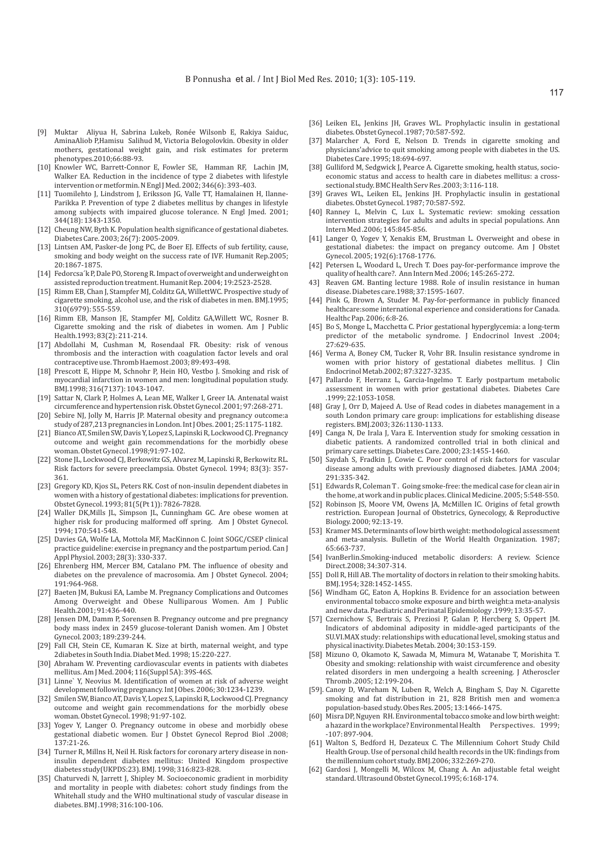- [ 9] Muktar Aliyua H, Sabrina Lukeb, Ronée Wilsonb E, Rakiya Saiduc, AminaAliob P,Hamisu Salihud M, Victoria Belogolovkin. Obesity in older mothers, gestational weight gain, and risk estimates for preterm phenotypes.2010;66:88-93.
- [10] Knowler WC, Barrett-Connor E, Fowler SE, Hamman RF, Lachin JM, Walker EA. Reduction in the incidence of type 2 diabetes with lifestyle intervention or metformin. N Engl J Med. 2002; 346(6): 393-403.
- [11] Tuomilehto J, Lindstrom J, Eriksson JG, Valle TT, Hamalainen H, Ilanne-Parikka P. Prevention of type 2 diabetes mellitus by changes in lifestyle among subjects with impaired glucose tolerance. N Engl Jmed. 2001; 344(18): 1343-1350.
- [12] Cheung NW, Byth K. Population health significance of gestational diabetes. Diabetes Care. 2003; 26(7): 2005-2009.
- [13] Lintsen AM, Pasker-de Jong PC, de Boer EJ. Effects of sub fertility, cause, smoking and body weight on the success rate of IVF. Humanit Rep.2005; 20:1867-1875.
- [14] Fedorcsa'k P, Dale PO, Storeng R. Impact of overweight and underweight on assisted reproduction treatment. Humanit Rep. 2004; 19:2523-2528.
- [15] Rimm EB, Chan J, Stampfer MJ, Colditz GA, WillettWC. Prospective study of cigarette smoking, alcohol use, and the risk of diabetes in men. BMJ.1995; 310(6979): 555-559.
- [16] Rimm EB, Manson JE, Stampfer MJ, Colditz GA, Willett WC, Rosner B. Cigarette smoking and the risk of diabetes in women. Am J Public Health.1993; 83(2): 211-214.
- [17] Abdollahi M, Cushman M, Rosendaal FR. Obesity: risk of venous thrombosis and the interaction with coagulation factor levels and oral contraceptive use. Thromb Haemost .2003; 89:493-498.
- [18] Prescott E, Hippe M, Schnohr P, Hein HO, Vestbo J. Smoking and risk of myocardial infarction in women and men: longitudinal population study. BMJ.1998; 316(7137): 1043-1047.
- [19] Sattar N, Clark P, Holmes A, Lean ME, Walker I, Greer IA. Antenatal waist circumference and hypertension risk. Obstet Gynecol .2001; 97:268-271.
- [20] Sebire NJ, Jolly M, Harris JP. Maternal obesity and pregnancy outcome:a study of 287,213 pregnancies in London. Int J Obes. 2001; 25:1175-1182.
- [21] Bianco AT, Smilen SW, Davis Y, Lopez S, Lapinski R, Lockwood CJ. Pregnancy outcome and weight gain recommendations for the morbidly obese woman. Obstet Gynecol .1998;91:97-102.
- [22] Stone JL, Lockwood CJ, Berkowitz GS, Alvarez M, Lapinski R, Berkowitz RL. Risk factors for severe preeclampsia. Obstet Gynecol. 1994; 83(3): 357- 361.
- [23] Gregory KD, Kjos SL, Peters RK. Cost of non-insulin dependent diabetes in women with a history of gestational diabetes: implications for prevention. Obstet Gynecol. 1993; 81(5(Pt 1)): 7826-7828.
- [24] Waller DK, Mills JL, Simpson JL, Cunningham GC. Are obese women at higher risk for producing malformed off spring. Am J Obstet Gynecol. 1994; 170:541-548.
- [25] Davies GA, Wolfe LA, Mottola MF, MacKinnon C. Joint SOGC/CSEP clinical practice guideline: exercise in pregnancy and the postpartum period. Can J Appl Physiol. 2003; 28(3): 330-337.
- [26] Ehrenberg HM, Mercer BM, Catalano PM. The influence of obesity and diabetes on the prevalence of macrosomia. Am J Obstet Gynecol. 2004; 191:964-968.
- [27] Baeten JM, Bukusi EA, Lambe M. Pregnancy Complications and Outcomes Among Overweight and Obese Nulliparous Women. Am J Public Health.2001; 91:436-440.
- [28] Jensen DM, Damm P, Sorensen B. Pregnancy outcome and pre pregnancy body mass index in 2459 glucose-tolerant Danish women. Am J Obstet Gynecol. 2003; 189:239-244.
- [29] Fall CH, Stein CE, Kumaran K. Size at birth, maternal weight, and type 2diabetes in South India. Diabet Med. 1998; 15:220-227.
- [30] Abraham W. Preventing cardiovascular events in patients with diabetes mellitus. Am J Med. 2004; 116(Suppl 5A): 39S-46S.
- [31] Linne` Y, Neovius M. Identification of women at risk of adverse weight development following pregnancy. Int J Obes. 2006; 30:1234-1239.
- [32] Smilen SW, Bianco AT, Davis Y, Lopez S, Lapinski R, Lockwood CJ. Pregnancy outcome and weight gain recommendations for the morbidly obese woman. Obstet Gynecol. 1998; 91:97-102.
- [33] Yogev Y, Langer O. Pregnancy outcome in obese and morbidly obese gestational diabetic women. Eur J Obstet Gynecol Reprod Biol .2008; 137:21-26.
- [34] Turner R, Millns H, Neil H. Risk factors for coronary artery disease in noninsulin dependent diabetes mellitus: United Kingdom prospective diabetes study(UKPDS:23). BMJ. 1998; 316:823-828.
- [35] Chaturvedi N, Jarrett J, Shipley M. Socioeconomic gradient in morbidity and mortality in people with diabetes: cohort study findings from the Whitehall study and the WHO multinational study of vascular disease in diabetes. BMJ .1998; 316:100-106.
- [36] Leiken EL, Jenkins JH, Graves WL. Prophylactic insulin in gestational diabetes. Obstet Gynecol .1987; 70:587-592.
- [37] Malarcher A, Ford E, Nelson D. Trends in cigarette smoking and physicians'advice to quit smoking among people with diabetes in the US. Diabetes Care .1995; 18:694-697.
- [38] Gulliford M, Sedgwick J, Pearce A. Cigarette smoking, health status, socioeconomic status and access to health care in diabetes mellitus: a crosssectional study. BMC Health Serv Res .2003; 3:116-118.
- [39] Graves WL, Leiken EL, Jenkins JH. Prophylactic insulin in gestational diabetes. Obstet Gynecol. 1987; 70:587-592.
- [40] Ranney L, Melvin C, Lux L. Systematic review: smoking cessation intervention strategies for adults and adults in special populations. Ann Intern Med .2006; 145:845-856.
- [41] Langer O, Yogev Y, Xenakis EM, Brustman L. Overweight and obese in gestational diabetes: the impact on pregancy outcome. Am J Obstet Gynecol. 2005; 192(6):1768-1776.
- [42] Petersen L, Woodard L, Urech T. Does pay-for-performance improve the quality of health care?. Ann Intern Med .2006; 145:265-272.
- 43] Reaven GM. Banting lecture 1988. Role of insulin resistance in human disease. Diabetes care.1988; 37:1595-1607.
- [44] Pink G, Brown A, Studer M. Pay-for-performance in publicly financed healthcare:some international experience and considerations for Canada. Healthc Pap. 2006; 6:8-26.
- [45] Bo S, Monge L, Macchetta C. Prior gestational hyperglycemia: a long-term predictor of the metabolic syndrome. J Endocrinol Invest .2004; 27:629-635.
- [46] Verma A, Boney CM, Tucker R, Vohr BR. Insulin resistance syndrome in women with prior history of gestational diabetes mellitus. J Clin Endocrinol Metab.2002; 87:3227-3235.
- [47] Pallardo F, Herranz L, Garcia-Ingelmo T. Early postpartum metabolic assessment in women with prior gestational diabetes. Diabetes Care .1999; 22:1053-1058.
- [48] Gray J, Orr D, Majeed A. Use of Read codes in diabetes management in a south London primary care group: implications for establishing disease registers. BMJ.2003; 326:1130-1133.
- [49] Canga N, De Irala J, Vara E. Intervention study for smoking cessation in diabetic patients. A randomized controlled trial in both clinical and primary care settings. Diabetes Care. 2000; 23:1455-1460.
- [50] Saydah S, Fradkin J, Cowie C. Poor control of risk factors for vascular disease among adults with previously diagnosed diabetes. JAMA .2004; 291:335-342.
- [51] Edwards R, Coleman T. Going smoke-free: the medical case for clean air in the home, at work and in public places. Clinical Medicine. 2005; 5:548-550.
- [52] Robinson JS, Moore VM, Owens JA, McMillen IC. Origins of fetal growth restriction. European Journal of Obstetrics, Gynecology, & Reproductive Biology. 2000; 92:13-19.
- [53] Kramer MS. Determinants of low birth weight: methodological assessment and meta-analysis. Bulletin of the World Health Organization. 1987; 65:663-737.
- [54] IvanBerlin.Smoking-induced metabolic disorders: A review. Science Direct.2008; 34:307-314.
- [55] Doll R, Hill AB. The mortality of doctors in relation to their smoking habits. BMJ.1954; 328:1452-1455.
- [56] Windham GC, Eaton A, Hopkins B. Evidence for an association between environmental tobacco smoke exposure and birth weight:a meta-analysis and new data. Paediatric and Perinatal Epidemiology .1999; 13:35-57.
- [57] Czernichow S, Bertrais S, Preziosi P, Galan P, Hercberg S, Oppert JM. Indicators of abdominal adiposity in middle-aged participants of the SU.VI.MAX study: relationships with educational level, smoking status and physical inactivity. Diabetes Metab. 2004; 30:153-159.
- [58] Mizuno O, Okamoto K, Sawada M, Mimura M, Watanabe T, Morishita T. Obesity and smoking: relationship with waist circumference and obesity related disorders in men undergoing a health screening. J Atheroscler Thromb .2005; 12:199-204.
- [59]. Canoy D, Wareham N, Luben R, Welch A, Bingham S, Day N. Cigarette smoking and fat distribution in 21, 828 British men and women:a population-based study. Obes Res. 2005; 13:1466-1475.
- [60] Misra DP, Nguyen RH. Environmental tobacco smoke and low birth weight: a hazard in the workplace? Environmental Health Perspectives. 1999; -107: 897-904.
- [61] Walton S, Bedford H, Dezateux C. The Millennium Cohort Study Child Health Group. Use of personal child health records in the UK: findings from the millennium cohort study. BMJ.2006; 332:269-270.
- $[62]$ [62 Gardosi J, Mongelli M, Wilcox M, Chang A. An adjustable fetal weight standard. Ultrasound Obstet Gynecol.1995; 6:168-174.